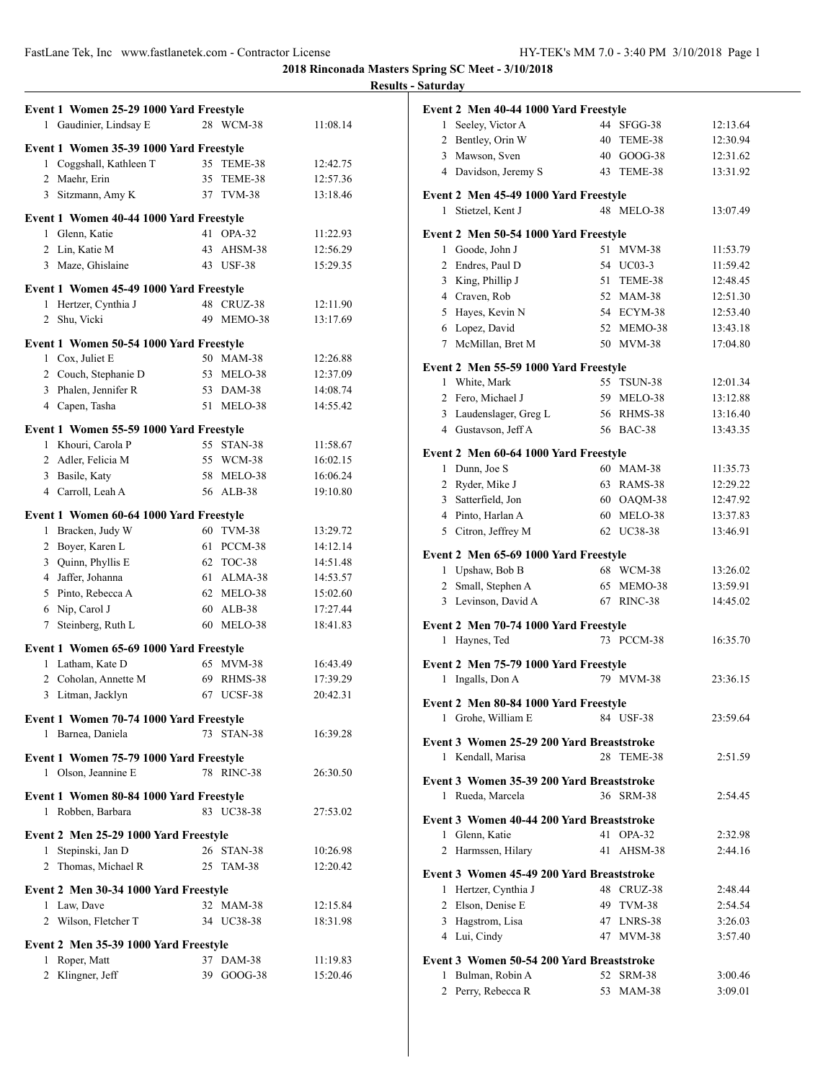|                                                                    |                         |                      | <b>Results - Saturday</b>  |
|--------------------------------------------------------------------|-------------------------|----------------------|----------------------------|
| Event 1 Women 25-29 1000 Yard Freestyle                            |                         |                      | Event 2                    |
| 1 Gaudinier, Lindsay E                                             | 28 WCM-38               | 11:08.14             | $1$ See                    |
|                                                                    |                         |                      | 2 Be                       |
| Event 1 Women 35-39 1000 Yard Freestyle<br>1 Coggshall, Kathleen T | 35 TEME-38              | 12:42.75             | 3 Ma                       |
| 2 Maehr, Erin                                                      | 35 TEME-38              | 12:57.36             | 4 Da                       |
| 3 Sitzmann, Amy K                                                  | 37 TVM-38               | 13:18.46             | Event 2                    |
|                                                                    |                         |                      | 1 Sti                      |
| Event 1 Women 40-44 1000 Yard Freestyle                            |                         |                      |                            |
| 1 Glenn, Katie                                                     | 41 OPA-32               | 11:22.93             | Event 2                    |
| 2 Lin, Katie M                                                     | 43 AHSM-38              | 12:56.29             | $1$ Go                     |
| 3 Maze, Ghislaine                                                  | 43 USF-38               | 15:29.35             | $2$ En                     |
| Event 1 Women 45-49 1000 Yard Freestyle                            |                         |                      | 3 Kii                      |
| 1 Hertzer, Cynthia J                                               | 48 CRUZ-38              | 12:11.90             | 4 Cra                      |
| 2 Shu, Vicki                                                       | 49 MEMO-38              | 13:17.69             | 5 Ha                       |
|                                                                    |                         |                      | $6$ Lo                     |
| Event 1 Women 50-54 1000 Yard Freestyle                            |                         |                      | 7 Mc                       |
| 1 Cox, Juliet E                                                    | 50 MAM-38               | 12:26.88             | Event 2                    |
| 2 Couch, Stephanie D                                               | 53 MELO-38              | 12:37.09             | Wł<br>1                    |
| 3 Phalen, Jennifer R                                               | 53 DAM-38               | 14:08.74             | 2 Fer                      |
| 4 Capen, Tasha                                                     | 51 MELO-38              | 14:55.42             | 3 Lat                      |
| Event 1 Women 55-59 1000 Yard Freestyle                            |                         |                      | 4 Gu                       |
| 1 Khouri, Carola P                                                 | 55 STAN-38              | 11:58.67             |                            |
| 2 Adler, Felicia M                                                 | 55 WCM-38               | 16:02.15             | Event 2                    |
| 3 Basile, Katy                                                     | 58 MELO-38              | 16:06.24             | 1 Du                       |
| 4 Carroll, Leah A                                                  | 56 ALB-38               | 19:10.80             | $2$ Ry                     |
|                                                                    |                         |                      | 3 Sat                      |
| Event 1 Women 60-64 1000 Yard Freestyle                            | 60 TVM-38               |                      | 4 Pin                      |
| 1 Bracken, Judy W                                                  | 61 PCCM-38              | 13:29.72             | 5 Cit                      |
| 2 Boyer, Karen L                                                   | 62 TOC-38               | 14:12.14             | Event 2                    |
| 3 Quinn, Phyllis E<br>4 Jaffer, Johanna                            | 61 ALMA-38              | 14:51.48             | $1$ Up                     |
|                                                                    |                         | 14:53.57             | $2 \, \text{Sm}$           |
| 5 Pinto, Rebecca A                                                 | 62 MELO-38<br>60 ALB-38 | 15:02.60<br>17:27.44 | $3$ Le                     |
| 6 Nip, Carol J<br>7 Steinberg, Ruth L                              | 60 MELO-38              | 18:41.83             |                            |
|                                                                    |                         |                      | Event 2<br>1 Ha            |
| Event 1 Women 65-69 1000 Yard Freestyle                            |                         |                      |                            |
| 1 Latham, Kate D                                                   | 65 MVM-38               | 16:43.49             | Event 2                    |
| 2 Coholan, Annette M                                               | 69 RHMS-38              | 17:39.29             | 1 Ing                      |
| 3 Litman, Jacklyn                                                  | 67 UCSF-38              | 20:42.31             | Event 2                    |
| Event 1 Women 70-74 1000 Yard Freestyle                            |                         |                      | $1$ Gro                    |
| 1 Barnea, Daniela                                                  | 73 STAN-38              | 16:39.28             |                            |
|                                                                    |                         |                      | Event 3                    |
| Event 1 Women 75-79 1000 Yard Freestyle                            |                         |                      | 1 Ke                       |
| 1 Olson, Jeannine E                                                | 78 RINC-38              | 26:30.50             | Event 3                    |
| Event 1 Women 80-84 1000 Yard Freestyle                            |                         |                      | 1 Ru                       |
| 1 Robben, Barbara                                                  | 83 UC38-38              | 27:53.02             |                            |
|                                                                    |                         |                      | Event 3                    |
| Event 2 Men 25-29 1000 Yard Freestyle                              |                         |                      | 1 Gk                       |
| 1 Stepinski, Jan D                                                 | 26 STAN-38              | 10:26.98             | 2 Ha                       |
| 2 Thomas, Michael R                                                | 25 TAM-38               | 12:20.42             | Event 3                    |
| Event 2 Men 30-34 1000 Yard Freestyle                              |                         |                      | 1 He                       |
| 1 Law, Dave                                                        | 32 MAM-38               | 12:15.84             | 2 Els                      |
| 2 Wilson, Fletcher T                                               | 34 UC38-38              | 18:31.98             | 3 Ha                       |
|                                                                    |                         |                      | 4 Lu                       |
| Event 2 Men 35-39 1000 Yard Freestyle                              |                         |                      |                            |
| 1 Roper, Matt                                                      | 37 DAM-38               | 11:19.83             | Event 3                    |
| 2 Klingner, Jeff                                                   | 39 GOOG-38              | 15:20.46             | $1$ Bu<br>2.5 <sub>0</sub> |
|                                                                    |                         |                      |                            |

| 44 SFGG-38<br>Seeley, Victor A<br>12:13.64<br>1<br>2 Bentley, Orin W<br>40<br>TEME-38<br>12:30.94<br>3 Mawson, Sven<br>40 GOOG-38<br>12:31.62<br>4 Davidson, Jeremy S<br>43 TEME-38<br>13:31.92<br>Event 2 Men 45-49 1000 Yard Freestyle<br>Stietzel, Kent J<br>48 MELO-38<br>13:07.49<br>1<br>Event 2 Men 50-54 1000 Yard Freestyle<br>Goode, John J<br>51<br>$MVM-38$<br>11:53.79<br>$\mathbf{1}$<br>2 Endres, Paul D<br>54 UC03-3<br>11:59.42<br>3 King, Phillip J<br>51 TEME-38<br>12:48.45<br>4 Craven, Rob<br>52 MAM-38<br>12:51.30<br>5 Hayes, Kevin N<br>54 ECYM-38<br>12:53.40<br>6 Lopez, David<br>52 MEMO-38<br>13:43.18<br>McMillan, Bret M<br>50 MVM-38<br>17:04.80<br>7<br>Event 2 Men 55-59 1000 Yard Freestyle<br>55 TSUN-38<br>1 White, Mark<br>12:01.34<br>2 Fero, Michael J<br>59 MELO-38<br>13:12.88<br>3 Laudenslager, Greg L<br>56 RHMS-38<br>13:16.40<br>4 Gustavson, Jeff A<br>56 BAC-38<br>13:43.35<br>Event 2 Men 60-64 1000 Yard Freestyle<br>1 Dunn, Joe S<br>60 MAM-38<br>11:35.73<br>2 Ryder, Mike J<br>63 RAMS-38<br>12:29.22<br>3 Satterfield, Jon<br>60 OAQM-38<br>12:47.92<br>4 Pinto, Harlan A<br>60 MELO-38<br>13:37.83<br>5 Citron, Jeffrey M<br>62 UC38-38<br>13:46.91<br>Event 2 Men 65-69 1000 Yard Freestyle<br>1 Upshaw, Bob B<br>68 WCM-38<br>13:26.02<br>2 Small, Stephen A<br>65 MEMO-38<br>13:59.91<br>3 Levinson, David A<br>67 RINC-38<br>14:45.02<br>Event 2 Men 70-74 1000 Yard Freestyle<br>Haynes, Ted<br>73 PCCM-38<br>16:35.70<br>1<br>Event 2 Men 75-79 1000 Yard Freestyle<br>79 MVM-38<br>Ingalls, Don A<br>1<br>23:36.15<br>Event 2 Men 80-84 1000 Yard Freestyle<br>1 Grohe, William E<br>23:59.64<br>84 USF-38<br>Event 3 Women 25-29 200 Yard Breaststroke<br>28<br>1 Kendall, Marisa<br>TEME-38<br>2:51.59<br>Event 3 Women 35-39 200 Yard Breaststroke<br>Rueda, Marcela<br>36 SRM-38<br>2:54.45<br>1<br>Event 3 Women 40-44 200 Yard Breaststroke<br>Glenn, Katie<br>1<br>41 OPA-32<br>2:32.98<br>AHSM-38<br>2<br>Harmssen, Hilary<br>41<br>2:44.16<br>Event 3 Women 45-49 200 Yard Breaststroke<br>48 CRUZ-38<br>Hertzer, Cynthia J<br>2:48.44<br>1<br>Elson, Denise E<br>49 TVM-38<br>2<br>2:54.54<br>3 Hagstrom, Lisa<br>47 LNRS-38<br>3:26.03<br>4 Lui, Cindy<br>47 MVM-38<br>3:57.40<br>Event 3 Women 50-54 200 Yard Breaststroke<br>Bulman, Robin A<br>52 SRM-38<br>1<br>3:00.46<br>Perry, Rebecca R<br>53<br><b>MAM-38</b><br>3:09.01<br>2 | Event 2 Men 40-44 1000 Yard Freestyle |  |  |
|-------------------------------------------------------------------------------------------------------------------------------------------------------------------------------------------------------------------------------------------------------------------------------------------------------------------------------------------------------------------------------------------------------------------------------------------------------------------------------------------------------------------------------------------------------------------------------------------------------------------------------------------------------------------------------------------------------------------------------------------------------------------------------------------------------------------------------------------------------------------------------------------------------------------------------------------------------------------------------------------------------------------------------------------------------------------------------------------------------------------------------------------------------------------------------------------------------------------------------------------------------------------------------------------------------------------------------------------------------------------------------------------------------------------------------------------------------------------------------------------------------------------------------------------------------------------------------------------------------------------------------------------------------------------------------------------------------------------------------------------------------------------------------------------------------------------------------------------------------------------------------------------------------------------------------------------------------------------------------------------------------------------------------------------------------------------------------------------------------------------------------------------------------------------------------------------------------------------------------------------------------------------------------------------------------------------------------------------------------------------------------------------------------------------|---------------------------------------|--|--|
|                                                                                                                                                                                                                                                                                                                                                                                                                                                                                                                                                                                                                                                                                                                                                                                                                                                                                                                                                                                                                                                                                                                                                                                                                                                                                                                                                                                                                                                                                                                                                                                                                                                                                                                                                                                                                                                                                                                                                                                                                                                                                                                                                                                                                                                                                                                                                                                                                   |                                       |  |  |
|                                                                                                                                                                                                                                                                                                                                                                                                                                                                                                                                                                                                                                                                                                                                                                                                                                                                                                                                                                                                                                                                                                                                                                                                                                                                                                                                                                                                                                                                                                                                                                                                                                                                                                                                                                                                                                                                                                                                                                                                                                                                                                                                                                                                                                                                                                                                                                                                                   |                                       |  |  |
|                                                                                                                                                                                                                                                                                                                                                                                                                                                                                                                                                                                                                                                                                                                                                                                                                                                                                                                                                                                                                                                                                                                                                                                                                                                                                                                                                                                                                                                                                                                                                                                                                                                                                                                                                                                                                                                                                                                                                                                                                                                                                                                                                                                                                                                                                                                                                                                                                   |                                       |  |  |
|                                                                                                                                                                                                                                                                                                                                                                                                                                                                                                                                                                                                                                                                                                                                                                                                                                                                                                                                                                                                                                                                                                                                                                                                                                                                                                                                                                                                                                                                                                                                                                                                                                                                                                                                                                                                                                                                                                                                                                                                                                                                                                                                                                                                                                                                                                                                                                                                                   |                                       |  |  |
|                                                                                                                                                                                                                                                                                                                                                                                                                                                                                                                                                                                                                                                                                                                                                                                                                                                                                                                                                                                                                                                                                                                                                                                                                                                                                                                                                                                                                                                                                                                                                                                                                                                                                                                                                                                                                                                                                                                                                                                                                                                                                                                                                                                                                                                                                                                                                                                                                   |                                       |  |  |
|                                                                                                                                                                                                                                                                                                                                                                                                                                                                                                                                                                                                                                                                                                                                                                                                                                                                                                                                                                                                                                                                                                                                                                                                                                                                                                                                                                                                                                                                                                                                                                                                                                                                                                                                                                                                                                                                                                                                                                                                                                                                                                                                                                                                                                                                                                                                                                                                                   |                                       |  |  |
|                                                                                                                                                                                                                                                                                                                                                                                                                                                                                                                                                                                                                                                                                                                                                                                                                                                                                                                                                                                                                                                                                                                                                                                                                                                                                                                                                                                                                                                                                                                                                                                                                                                                                                                                                                                                                                                                                                                                                                                                                                                                                                                                                                                                                                                                                                                                                                                                                   |                                       |  |  |
|                                                                                                                                                                                                                                                                                                                                                                                                                                                                                                                                                                                                                                                                                                                                                                                                                                                                                                                                                                                                                                                                                                                                                                                                                                                                                                                                                                                                                                                                                                                                                                                                                                                                                                                                                                                                                                                                                                                                                                                                                                                                                                                                                                                                                                                                                                                                                                                                                   |                                       |  |  |
|                                                                                                                                                                                                                                                                                                                                                                                                                                                                                                                                                                                                                                                                                                                                                                                                                                                                                                                                                                                                                                                                                                                                                                                                                                                                                                                                                                                                                                                                                                                                                                                                                                                                                                                                                                                                                                                                                                                                                                                                                                                                                                                                                                                                                                                                                                                                                                                                                   |                                       |  |  |
|                                                                                                                                                                                                                                                                                                                                                                                                                                                                                                                                                                                                                                                                                                                                                                                                                                                                                                                                                                                                                                                                                                                                                                                                                                                                                                                                                                                                                                                                                                                                                                                                                                                                                                                                                                                                                                                                                                                                                                                                                                                                                                                                                                                                                                                                                                                                                                                                                   |                                       |  |  |
|                                                                                                                                                                                                                                                                                                                                                                                                                                                                                                                                                                                                                                                                                                                                                                                                                                                                                                                                                                                                                                                                                                                                                                                                                                                                                                                                                                                                                                                                                                                                                                                                                                                                                                                                                                                                                                                                                                                                                                                                                                                                                                                                                                                                                                                                                                                                                                                                                   |                                       |  |  |
|                                                                                                                                                                                                                                                                                                                                                                                                                                                                                                                                                                                                                                                                                                                                                                                                                                                                                                                                                                                                                                                                                                                                                                                                                                                                                                                                                                                                                                                                                                                                                                                                                                                                                                                                                                                                                                                                                                                                                                                                                                                                                                                                                                                                                                                                                                                                                                                                                   |                                       |  |  |
|                                                                                                                                                                                                                                                                                                                                                                                                                                                                                                                                                                                                                                                                                                                                                                                                                                                                                                                                                                                                                                                                                                                                                                                                                                                                                                                                                                                                                                                                                                                                                                                                                                                                                                                                                                                                                                                                                                                                                                                                                                                                                                                                                                                                                                                                                                                                                                                                                   |                                       |  |  |
|                                                                                                                                                                                                                                                                                                                                                                                                                                                                                                                                                                                                                                                                                                                                                                                                                                                                                                                                                                                                                                                                                                                                                                                                                                                                                                                                                                                                                                                                                                                                                                                                                                                                                                                                                                                                                                                                                                                                                                                                                                                                                                                                                                                                                                                                                                                                                                                                                   |                                       |  |  |
|                                                                                                                                                                                                                                                                                                                                                                                                                                                                                                                                                                                                                                                                                                                                                                                                                                                                                                                                                                                                                                                                                                                                                                                                                                                                                                                                                                                                                                                                                                                                                                                                                                                                                                                                                                                                                                                                                                                                                                                                                                                                                                                                                                                                                                                                                                                                                                                                                   |                                       |  |  |
|                                                                                                                                                                                                                                                                                                                                                                                                                                                                                                                                                                                                                                                                                                                                                                                                                                                                                                                                                                                                                                                                                                                                                                                                                                                                                                                                                                                                                                                                                                                                                                                                                                                                                                                                                                                                                                                                                                                                                                                                                                                                                                                                                                                                                                                                                                                                                                                                                   |                                       |  |  |
|                                                                                                                                                                                                                                                                                                                                                                                                                                                                                                                                                                                                                                                                                                                                                                                                                                                                                                                                                                                                                                                                                                                                                                                                                                                                                                                                                                                                                                                                                                                                                                                                                                                                                                                                                                                                                                                                                                                                                                                                                                                                                                                                                                                                                                                                                                                                                                                                                   |                                       |  |  |
|                                                                                                                                                                                                                                                                                                                                                                                                                                                                                                                                                                                                                                                                                                                                                                                                                                                                                                                                                                                                                                                                                                                                                                                                                                                                                                                                                                                                                                                                                                                                                                                                                                                                                                                                                                                                                                                                                                                                                                                                                                                                                                                                                                                                                                                                                                                                                                                                                   |                                       |  |  |
|                                                                                                                                                                                                                                                                                                                                                                                                                                                                                                                                                                                                                                                                                                                                                                                                                                                                                                                                                                                                                                                                                                                                                                                                                                                                                                                                                                                                                                                                                                                                                                                                                                                                                                                                                                                                                                                                                                                                                                                                                                                                                                                                                                                                                                                                                                                                                                                                                   |                                       |  |  |
|                                                                                                                                                                                                                                                                                                                                                                                                                                                                                                                                                                                                                                                                                                                                                                                                                                                                                                                                                                                                                                                                                                                                                                                                                                                                                                                                                                                                                                                                                                                                                                                                                                                                                                                                                                                                                                                                                                                                                                                                                                                                                                                                                                                                                                                                                                                                                                                                                   |                                       |  |  |
|                                                                                                                                                                                                                                                                                                                                                                                                                                                                                                                                                                                                                                                                                                                                                                                                                                                                                                                                                                                                                                                                                                                                                                                                                                                                                                                                                                                                                                                                                                                                                                                                                                                                                                                                                                                                                                                                                                                                                                                                                                                                                                                                                                                                                                                                                                                                                                                                                   |                                       |  |  |
|                                                                                                                                                                                                                                                                                                                                                                                                                                                                                                                                                                                                                                                                                                                                                                                                                                                                                                                                                                                                                                                                                                                                                                                                                                                                                                                                                                                                                                                                                                                                                                                                                                                                                                                                                                                                                                                                                                                                                                                                                                                                                                                                                                                                                                                                                                                                                                                                                   |                                       |  |  |
|                                                                                                                                                                                                                                                                                                                                                                                                                                                                                                                                                                                                                                                                                                                                                                                                                                                                                                                                                                                                                                                                                                                                                                                                                                                                                                                                                                                                                                                                                                                                                                                                                                                                                                                                                                                                                                                                                                                                                                                                                                                                                                                                                                                                                                                                                                                                                                                                                   |                                       |  |  |
|                                                                                                                                                                                                                                                                                                                                                                                                                                                                                                                                                                                                                                                                                                                                                                                                                                                                                                                                                                                                                                                                                                                                                                                                                                                                                                                                                                                                                                                                                                                                                                                                                                                                                                                                                                                                                                                                                                                                                                                                                                                                                                                                                                                                                                                                                                                                                                                                                   |                                       |  |  |
|                                                                                                                                                                                                                                                                                                                                                                                                                                                                                                                                                                                                                                                                                                                                                                                                                                                                                                                                                                                                                                                                                                                                                                                                                                                                                                                                                                                                                                                                                                                                                                                                                                                                                                                                                                                                                                                                                                                                                                                                                                                                                                                                                                                                                                                                                                                                                                                                                   |                                       |  |  |
|                                                                                                                                                                                                                                                                                                                                                                                                                                                                                                                                                                                                                                                                                                                                                                                                                                                                                                                                                                                                                                                                                                                                                                                                                                                                                                                                                                                                                                                                                                                                                                                                                                                                                                                                                                                                                                                                                                                                                                                                                                                                                                                                                                                                                                                                                                                                                                                                                   |                                       |  |  |
|                                                                                                                                                                                                                                                                                                                                                                                                                                                                                                                                                                                                                                                                                                                                                                                                                                                                                                                                                                                                                                                                                                                                                                                                                                                                                                                                                                                                                                                                                                                                                                                                                                                                                                                                                                                                                                                                                                                                                                                                                                                                                                                                                                                                                                                                                                                                                                                                                   |                                       |  |  |
|                                                                                                                                                                                                                                                                                                                                                                                                                                                                                                                                                                                                                                                                                                                                                                                                                                                                                                                                                                                                                                                                                                                                                                                                                                                                                                                                                                                                                                                                                                                                                                                                                                                                                                                                                                                                                                                                                                                                                                                                                                                                                                                                                                                                                                                                                                                                                                                                                   |                                       |  |  |
|                                                                                                                                                                                                                                                                                                                                                                                                                                                                                                                                                                                                                                                                                                                                                                                                                                                                                                                                                                                                                                                                                                                                                                                                                                                                                                                                                                                                                                                                                                                                                                                                                                                                                                                                                                                                                                                                                                                                                                                                                                                                                                                                                                                                                                                                                                                                                                                                                   |                                       |  |  |
|                                                                                                                                                                                                                                                                                                                                                                                                                                                                                                                                                                                                                                                                                                                                                                                                                                                                                                                                                                                                                                                                                                                                                                                                                                                                                                                                                                                                                                                                                                                                                                                                                                                                                                                                                                                                                                                                                                                                                                                                                                                                                                                                                                                                                                                                                                                                                                                                                   |                                       |  |  |
|                                                                                                                                                                                                                                                                                                                                                                                                                                                                                                                                                                                                                                                                                                                                                                                                                                                                                                                                                                                                                                                                                                                                                                                                                                                                                                                                                                                                                                                                                                                                                                                                                                                                                                                                                                                                                                                                                                                                                                                                                                                                                                                                                                                                                                                                                                                                                                                                                   |                                       |  |  |
|                                                                                                                                                                                                                                                                                                                                                                                                                                                                                                                                                                                                                                                                                                                                                                                                                                                                                                                                                                                                                                                                                                                                                                                                                                                                                                                                                                                                                                                                                                                                                                                                                                                                                                                                                                                                                                                                                                                                                                                                                                                                                                                                                                                                                                                                                                                                                                                                                   |                                       |  |  |
|                                                                                                                                                                                                                                                                                                                                                                                                                                                                                                                                                                                                                                                                                                                                                                                                                                                                                                                                                                                                                                                                                                                                                                                                                                                                                                                                                                                                                                                                                                                                                                                                                                                                                                                                                                                                                                                                                                                                                                                                                                                                                                                                                                                                                                                                                                                                                                                                                   |                                       |  |  |
|                                                                                                                                                                                                                                                                                                                                                                                                                                                                                                                                                                                                                                                                                                                                                                                                                                                                                                                                                                                                                                                                                                                                                                                                                                                                                                                                                                                                                                                                                                                                                                                                                                                                                                                                                                                                                                                                                                                                                                                                                                                                                                                                                                                                                                                                                                                                                                                                                   |                                       |  |  |
|                                                                                                                                                                                                                                                                                                                                                                                                                                                                                                                                                                                                                                                                                                                                                                                                                                                                                                                                                                                                                                                                                                                                                                                                                                                                                                                                                                                                                                                                                                                                                                                                                                                                                                                                                                                                                                                                                                                                                                                                                                                                                                                                                                                                                                                                                                                                                                                                                   |                                       |  |  |
|                                                                                                                                                                                                                                                                                                                                                                                                                                                                                                                                                                                                                                                                                                                                                                                                                                                                                                                                                                                                                                                                                                                                                                                                                                                                                                                                                                                                                                                                                                                                                                                                                                                                                                                                                                                                                                                                                                                                                                                                                                                                                                                                                                                                                                                                                                                                                                                                                   |                                       |  |  |
|                                                                                                                                                                                                                                                                                                                                                                                                                                                                                                                                                                                                                                                                                                                                                                                                                                                                                                                                                                                                                                                                                                                                                                                                                                                                                                                                                                                                                                                                                                                                                                                                                                                                                                                                                                                                                                                                                                                                                                                                                                                                                                                                                                                                                                                                                                                                                                                                                   |                                       |  |  |
|                                                                                                                                                                                                                                                                                                                                                                                                                                                                                                                                                                                                                                                                                                                                                                                                                                                                                                                                                                                                                                                                                                                                                                                                                                                                                                                                                                                                                                                                                                                                                                                                                                                                                                                                                                                                                                                                                                                                                                                                                                                                                                                                                                                                                                                                                                                                                                                                                   |                                       |  |  |
|                                                                                                                                                                                                                                                                                                                                                                                                                                                                                                                                                                                                                                                                                                                                                                                                                                                                                                                                                                                                                                                                                                                                                                                                                                                                                                                                                                                                                                                                                                                                                                                                                                                                                                                                                                                                                                                                                                                                                                                                                                                                                                                                                                                                                                                                                                                                                                                                                   |                                       |  |  |
|                                                                                                                                                                                                                                                                                                                                                                                                                                                                                                                                                                                                                                                                                                                                                                                                                                                                                                                                                                                                                                                                                                                                                                                                                                                                                                                                                                                                                                                                                                                                                                                                                                                                                                                                                                                                                                                                                                                                                                                                                                                                                                                                                                                                                                                                                                                                                                                                                   |                                       |  |  |
|                                                                                                                                                                                                                                                                                                                                                                                                                                                                                                                                                                                                                                                                                                                                                                                                                                                                                                                                                                                                                                                                                                                                                                                                                                                                                                                                                                                                                                                                                                                                                                                                                                                                                                                                                                                                                                                                                                                                                                                                                                                                                                                                                                                                                                                                                                                                                                                                                   |                                       |  |  |
|                                                                                                                                                                                                                                                                                                                                                                                                                                                                                                                                                                                                                                                                                                                                                                                                                                                                                                                                                                                                                                                                                                                                                                                                                                                                                                                                                                                                                                                                                                                                                                                                                                                                                                                                                                                                                                                                                                                                                                                                                                                                                                                                                                                                                                                                                                                                                                                                                   |                                       |  |  |
|                                                                                                                                                                                                                                                                                                                                                                                                                                                                                                                                                                                                                                                                                                                                                                                                                                                                                                                                                                                                                                                                                                                                                                                                                                                                                                                                                                                                                                                                                                                                                                                                                                                                                                                                                                                                                                                                                                                                                                                                                                                                                                                                                                                                                                                                                                                                                                                                                   |                                       |  |  |
|                                                                                                                                                                                                                                                                                                                                                                                                                                                                                                                                                                                                                                                                                                                                                                                                                                                                                                                                                                                                                                                                                                                                                                                                                                                                                                                                                                                                                                                                                                                                                                                                                                                                                                                                                                                                                                                                                                                                                                                                                                                                                                                                                                                                                                                                                                                                                                                                                   |                                       |  |  |
|                                                                                                                                                                                                                                                                                                                                                                                                                                                                                                                                                                                                                                                                                                                                                                                                                                                                                                                                                                                                                                                                                                                                                                                                                                                                                                                                                                                                                                                                                                                                                                                                                                                                                                                                                                                                                                                                                                                                                                                                                                                                                                                                                                                                                                                                                                                                                                                                                   |                                       |  |  |
|                                                                                                                                                                                                                                                                                                                                                                                                                                                                                                                                                                                                                                                                                                                                                                                                                                                                                                                                                                                                                                                                                                                                                                                                                                                                                                                                                                                                                                                                                                                                                                                                                                                                                                                                                                                                                                                                                                                                                                                                                                                                                                                                                                                                                                                                                                                                                                                                                   |                                       |  |  |
|                                                                                                                                                                                                                                                                                                                                                                                                                                                                                                                                                                                                                                                                                                                                                                                                                                                                                                                                                                                                                                                                                                                                                                                                                                                                                                                                                                                                                                                                                                                                                                                                                                                                                                                                                                                                                                                                                                                                                                                                                                                                                                                                                                                                                                                                                                                                                                                                                   |                                       |  |  |
|                                                                                                                                                                                                                                                                                                                                                                                                                                                                                                                                                                                                                                                                                                                                                                                                                                                                                                                                                                                                                                                                                                                                                                                                                                                                                                                                                                                                                                                                                                                                                                                                                                                                                                                                                                                                                                                                                                                                                                                                                                                                                                                                                                                                                                                                                                                                                                                                                   |                                       |  |  |
|                                                                                                                                                                                                                                                                                                                                                                                                                                                                                                                                                                                                                                                                                                                                                                                                                                                                                                                                                                                                                                                                                                                                                                                                                                                                                                                                                                                                                                                                                                                                                                                                                                                                                                                                                                                                                                                                                                                                                                                                                                                                                                                                                                                                                                                                                                                                                                                                                   |                                       |  |  |
|                                                                                                                                                                                                                                                                                                                                                                                                                                                                                                                                                                                                                                                                                                                                                                                                                                                                                                                                                                                                                                                                                                                                                                                                                                                                                                                                                                                                                                                                                                                                                                                                                                                                                                                                                                                                                                                                                                                                                                                                                                                                                                                                                                                                                                                                                                                                                                                                                   |                                       |  |  |
|                                                                                                                                                                                                                                                                                                                                                                                                                                                                                                                                                                                                                                                                                                                                                                                                                                                                                                                                                                                                                                                                                                                                                                                                                                                                                                                                                                                                                                                                                                                                                                                                                                                                                                                                                                                                                                                                                                                                                                                                                                                                                                                                                                                                                                                                                                                                                                                                                   |                                       |  |  |
|                                                                                                                                                                                                                                                                                                                                                                                                                                                                                                                                                                                                                                                                                                                                                                                                                                                                                                                                                                                                                                                                                                                                                                                                                                                                                                                                                                                                                                                                                                                                                                                                                                                                                                                                                                                                                                                                                                                                                                                                                                                                                                                                                                                                                                                                                                                                                                                                                   |                                       |  |  |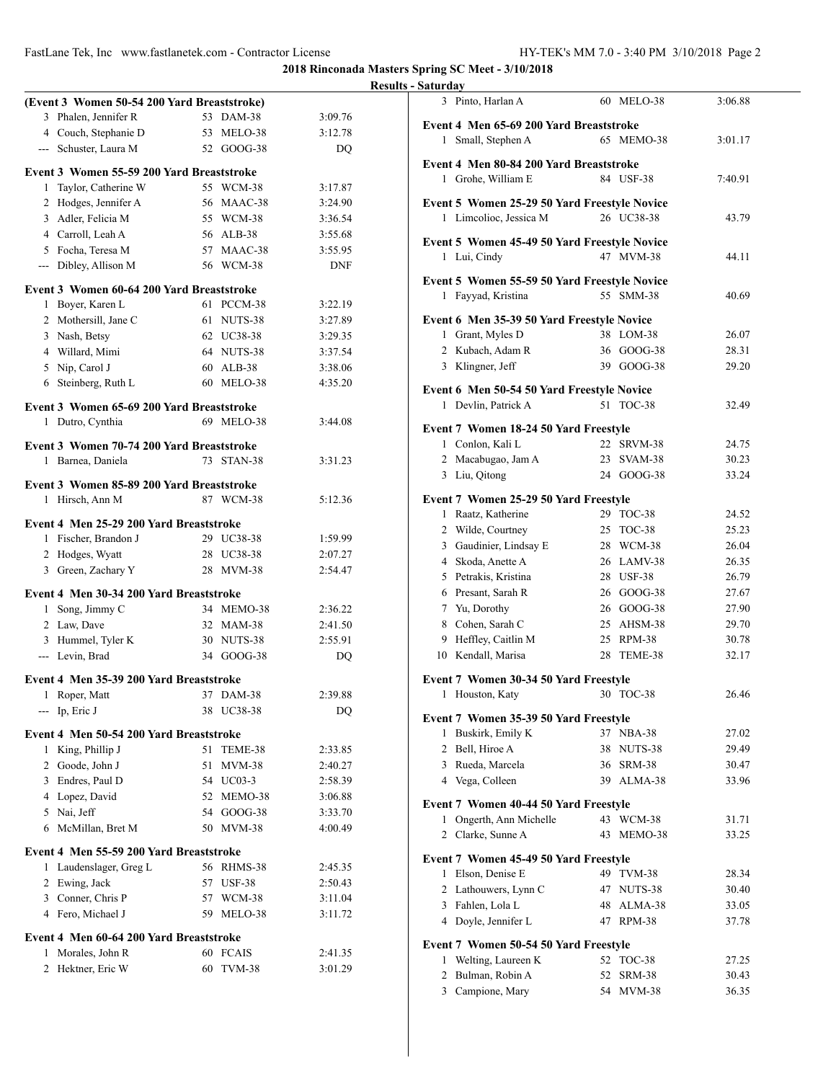**2018 Rinconada Masters Spring SC Meet - 3/10/2018**

# **Results - Saturday**

|                | (Event 3 Women 50-54 200 Yard Breaststroke) |    |               |            |
|----------------|---------------------------------------------|----|---------------|------------|
|                | 3 Phalen, Jennifer R                        | 53 | $DAM-38$      | 3:09.76    |
|                | 4 Couch, Stephanie D                        | 53 | MELO-38       | 3:12.78    |
|                | --- Schuster, Laura M                       |    | 52 GOOG-38    | DQ         |
|                |                                             |    |               |            |
|                | Event 3 Women 55-59 200 Yard Breaststroke   |    |               |            |
| 1              | Taylor, Catherine W                         |    | 55 WCM-38     | 3:17.87    |
|                | 2 Hodges, Jennifer A                        |    | 56 MAAC-38    | 3:24.90    |
|                | 3 Adler, Felicia M                          |    | 55 WCM-38     | 3:36.54    |
|                | 4 Carroll, Leah A                           |    | 56 ALB-38     | 3:55.68    |
|                | 5 Focha, Teresa M                           |    | 57 MAAC-38    | 3:55.95    |
|                | --- Dibley, Allison M                       |    | 56 WCM-38     | <b>DNF</b> |
|                | Event 3 Women 60-64 200 Yard Breaststroke   |    |               |            |
|                | 1 Boyer, Karen L                            |    | 61 PCCM-38    | 3:22.19    |
|                | 2 Mothersill, Jane C                        |    | 61 NUTS-38    | 3:27.89    |
|                | 3 Nash, Betsy                               |    | 62 UC38-38    | 3:29.35    |
|                | 4 Willard, Mimi                             |    | 64 NUTS-38    | 3:37.54    |
|                | 5 Nip, Carol J                              |    | 60 ALB-38     | 3:38.06    |
| 6              | Steinberg, Ruth L                           |    | 60 MELO-38    | 4:35.20    |
|                |                                             |    |               |            |
|                | Event 3 Women 65-69 200 Yard Breaststroke   |    |               |            |
|                | 1 Dutro, Cynthia                            |    | 69 MELO-38    | 3:44.08    |
|                |                                             |    |               |            |
|                | Event 3 Women 70-74 200 Yard Breaststroke   |    |               |            |
|                | 1 Barnea, Daniela                           | 73 | STAN-38       | 3:31.23    |
|                | Event 3 Women 85-89 200 Yard Breaststroke   |    |               |            |
| 1              | Hirsch, Ann M                               |    | 87 WCM-38     | 5:12.36    |
|                |                                             |    |               |            |
|                | Event 4 Men 25-29 200 Yard Breaststroke     |    |               |            |
|                | 1 Fischer, Brandon J                        |    | 29 UC38-38    | 1:59.99    |
|                | 2 Hodges, Wyatt                             |    | 28 UC38-38    | 2:07.27    |
|                | 3 Green, Zachary Y                          |    | 28 MVM-38     | 2:54.47    |
|                | Event 4 Men 30-34 200 Yard Breaststroke     |    |               |            |
|                | 1 Song, Jimmy C                             |    | 34 MEMO-38    | 2:36.22    |
|                | 2 Law, Dave                                 |    | 32 MAM-38     | 2:41.50    |
|                | 3 Hummel, Tyler K                           |    | 30 NUTS-38    | 2:55.91    |
|                | --- Levin, Brad                             |    | 34 GOOG-38    | DQ         |
|                |                                             |    |               |            |
|                | Event 4 Men 35-39 200 Yard Breaststroke     |    |               |            |
| 1              | Roper, Matt                                 | 37 | <b>DAM-38</b> | 2:39.88    |
|                | $-$ Ip, Eric J                              |    | 38 UC38-38    | DQ         |
|                | Event 4 Men 50-54 200 Yard Breaststroke     |    |               |            |
|                | 1 King, Phillip J                           | 51 | TEME-38       | 2:33.85    |
|                |                                             | 51 |               | 2:40.27    |
|                | 2 Goode, John J<br>3 Endres, Paul D         |    | MVM-38        |            |
|                |                                             |    | 54 UC03-3     | 2:58.39    |
|                | 4 Lopez, David                              |    | 52 MEMO-38    | 3:06.88    |
|                | 5 Nai, Jeff                                 |    | 54 GOOG-38    | 3:33.70    |
|                | 6 McMillan, Bret M                          |    | 50 MVM-38     | 4:00.49    |
|                | Event 4 Men 55-59 200 Yard Breaststroke     |    |               |            |
| 1              | Laudenslager, Greg L                        |    | 56 RHMS-38    | 2:45.35    |
| $\overline{2}$ | Ewing, Jack                                 |    | 57 USF-38     | 2:50.43    |
|                | 3 Conner, Chris P                           |    | 57 WCM-38     | 3:11.04    |
|                | 4 Fero, Michael J                           | 59 | MELO-38       | 3:11.72    |
|                |                                             |    |               |            |
|                | Event 4 Men 60-64 200 Yard Breaststroke     |    |               |            |
| 1              | Morales, John R                             |    | 60 FCAIS      | 2:41.35    |
| 2              | Hektner, Eric W                             | 60 | TVM-38        | 3:01.29    |
|                |                                             |    |               |            |

|                                         | 3 Pinto, Harlan A                                              |          | 60 MELO-38          | 3:06.88        |  |  |  |
|-----------------------------------------|----------------------------------------------------------------|----------|---------------------|----------------|--|--|--|
| Event 4 Men 65-69 200 Yard Breaststroke |                                                                |          |                     |                |  |  |  |
|                                         | 1 Small, Stephen A                                             |          | 65 MEMO-38          | 3:01.17        |  |  |  |
|                                         | Event 4 Men 80-84 200 Yard Breaststroke                        |          |                     |                |  |  |  |
|                                         | 1 Grohe, William E                                             |          | 84 USF-38           | 7:40.91        |  |  |  |
|                                         |                                                                |          |                     |                |  |  |  |
|                                         | Event 5 Women 25-29 50 Yard Freestyle Novice                   |          |                     |                |  |  |  |
|                                         | 1 Limcolioc, Jessica M                                         |          | 26 UC38-38          | 43.79          |  |  |  |
|                                         | Event 5 Women 45-49 50 Yard Freestyle Novice                   |          |                     |                |  |  |  |
|                                         | 1 Lui, Cindy                                                   |          | 47 MVM-38           | 44.11          |  |  |  |
|                                         | Event 5 Women 55-59 50 Yard Freestyle Novice                   |          |                     |                |  |  |  |
|                                         | 1 Fayyad, Kristina                                             |          | 55 SMM-38           | 40.69          |  |  |  |
|                                         |                                                                |          |                     |                |  |  |  |
|                                         | Event 6 Men 35-39 50 Yard Freestyle Novice<br>1 Grant, Myles D |          | 38 LOM-38           | 26.07          |  |  |  |
|                                         | 2 Kubach, Adam R                                               |          | 36 GOOG-38          | 28.31          |  |  |  |
|                                         | 3 Klingner, Jeff                                               |          | 39 GOOG-38          | 29.20          |  |  |  |
|                                         |                                                                |          |                     |                |  |  |  |
|                                         | Event 6 Men 50-54 50 Yard Freestyle Novice                     |          |                     |                |  |  |  |
|                                         | 1 Devlin, Patrick A                                            |          | 51 TOC-38           | 32.49          |  |  |  |
|                                         | Event 7 Women 18-24 50 Yard Freestyle                          |          |                     |                |  |  |  |
|                                         | 1 Conlon, Kali L                                               |          | 22 SRVM-38          | 24.75          |  |  |  |
|                                         | 2 Macabugao, Jam A                                             |          | 23 SVAM-38          | 30.23          |  |  |  |
|                                         | 3 Liu, Qitong                                                  |          | 24 GOOG-38          | 33.24          |  |  |  |
|                                         | Event 7 Women 25-29 50 Yard Freestyle                          |          |                     |                |  |  |  |
|                                         | 1 Raatz, Katherine                                             |          | 29 TOC-38           | 24.52          |  |  |  |
|                                         | 2 Wilde, Courtney                                              |          | 25 TOC-38           | 25.23          |  |  |  |
|                                         | 3 Gaudinier, Lindsay E                                         |          | 28 WCM-38           | 26.04          |  |  |  |
|                                         | 4 Skoda, Anette A                                              |          | 26 LAMV-38          | 26.35          |  |  |  |
|                                         | 5 Petrakis, Kristina                                           |          | 28 USF-38           | 26.79          |  |  |  |
|                                         | 6 Presant, Sarah R                                             |          | 26 GOOG-38          | 27.67          |  |  |  |
|                                         | 7 Yu, Dorothy                                                  |          | 26 GOOG-38          | 27.90          |  |  |  |
|                                         | 8 Cohen, Sarah C                                               |          | 25 AHSM-38          | 29.70          |  |  |  |
|                                         | 9 Heffley, Caitlin M                                           |          | 25 RPM-38           | 30.78          |  |  |  |
|                                         | 10 Kendall, Marisa                                             |          | 28 TEME-38          | 32.17          |  |  |  |
|                                         |                                                                |          |                     |                |  |  |  |
| 1                                       | Event 7 Women 30-34 50 Yard Freestyle<br>Houston, Katy         |          | 30 TOC-38           | 26.46          |  |  |  |
|                                         |                                                                |          |                     |                |  |  |  |
|                                         | Event 7 Women 35-39 50 Yard Freestyle                          |          |                     |                |  |  |  |
| 1                                       | Buskirk, Emily K                                               | 37       | <b>NBA-38</b>       | 27.02          |  |  |  |
|                                         | 2 Bell, Hiroe A                                                | 38       | NUTS-38             | 29.49          |  |  |  |
|                                         | 3 Rueda, Marcela                                               |          | 36 SRM-38           | 30.47          |  |  |  |
|                                         | 4 Vega, Colleen                                                |          | 39 ALMA-38          | 33.96          |  |  |  |
|                                         | Event 7 Women 40-44 50 Yard Freestyle                          |          |                     |                |  |  |  |
|                                         | 1 Ongerth, Ann Michelle                                        |          | 43 WCM-38           | 31.71          |  |  |  |
|                                         | 2 Clarke, Sunne A                                              | 43       | MEMO-38             | 33.25          |  |  |  |
|                                         | Event 7 Women 45-49 50 Yard Freestyle                          |          |                     |                |  |  |  |
| 1                                       | Elson, Denise E                                                |          | 49 TVM-38           | 28.34          |  |  |  |
|                                         | 2 Lathouwers, Lynn C                                           |          | 47 NUTS-38          | 30.40          |  |  |  |
|                                         | 3 Fahlen, Lola L                                               |          | 48 ALMA-38          | 33.05          |  |  |  |
|                                         | 4 Doyle, Jennifer L                                            |          | 47 RPM-38           | 37.78          |  |  |  |
|                                         |                                                                |          |                     |                |  |  |  |
|                                         | Event 7 Women 50-54 50 Yard Freestyle                          |          |                     |                |  |  |  |
| 1                                       | Welting, Laureen K                                             | 52<br>52 | <b>TOC-38</b>       | 27.25          |  |  |  |
| 2                                       | Bulman, Robin A<br>3 Campione, Mary                            |          | SRM-38<br>54 MVM-38 | 30.43<br>36.35 |  |  |  |
|                                         |                                                                |          |                     |                |  |  |  |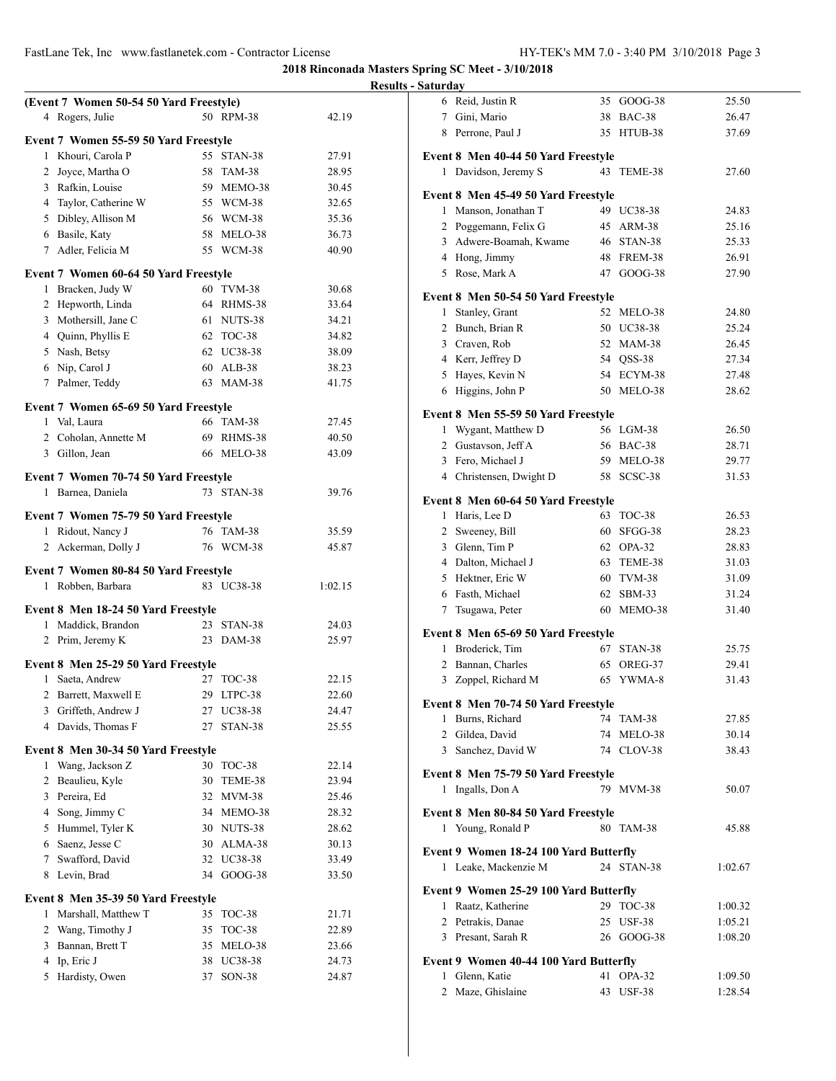|              |                                                          |    |               | R       |
|--------------|----------------------------------------------------------|----|---------------|---------|
|              | (Event 7 Women 50-54 50 Yard Freestyle)                  |    |               |         |
| 4            | Rogers, Julie                                            |    | 50 RPM-38     | 42.19   |
|              | Event 7 Women 55-59 50 Yard Freestyle                    |    |               |         |
|              | 1 Khouri, Carola P                                       | 55 | STAN-38       | 27.91   |
|              | 2 Joyce, Martha O                                        |    | 58 TAM-38     | 28.95   |
|              | 3 Rafkin, Louise                                         |    | 59 MEMO-38    | 30.45   |
|              | 4 Taylor, Catherine W                                    |    | 55 WCM-38     | 32.65   |
|              | 5 Dibley, Allison M                                      |    | 56 WCM-38     | 35.36   |
|              | 6 Basile, Katy                                           |    | 58 MELO-38    | 36.73   |
|              | 7 Adler, Felicia M                                       |    | 55 WCM-38     | 40.90   |
|              | Event 7 Women 60-64 50 Yard Freestyle                    |    |               |         |
| 1            | Bracken, Judy W                                          |    | 60 TVM-38     | 30.68   |
|              | 2 Hepworth, Linda                                        |    | 64 RHMS-38    | 33.64   |
|              | 3 Mothersill, Jane C                                     |    | 61 NUTS-38    | 34.21   |
|              | 4 Quinn, Phyllis E                                       |    | 62 TOC-38     | 34.82   |
|              | 5 Nash, Betsy                                            |    | 62 UC38-38    | 38.09   |
|              | 6 Nip, Carol J                                           |    | 60 ALB-38     | 38.23   |
|              | 7 Palmer, Teddy                                          |    | 63 MAM-38     | 41.75   |
|              |                                                          |    |               |         |
|              | Event 7 Women 65-69 50 Yard Freestyle<br>1 Val, Laura    |    | 66 TAM-38     | 27.45   |
|              | 2 Coholan, Annette M                                     |    | 69 RHMS-38    | 40.50   |
|              | 3 Gillon, Jean                                           |    | 66 MELO-38    | 43.09   |
|              |                                                          |    |               |         |
|              | <b>Event 7 Women 70-74 50 Yard Freestyle</b>             |    |               |         |
| 1            | Barnea, Daniela                                          | 73 | STAN-38       | 39.76   |
|              | Event 7 Women 75-79 50 Yard Freestyle                    |    |               |         |
|              | 1 Ridout, Nancy J                                        |    | 76 TAM-38     | 35.59   |
| $\mathbf{2}$ | Ackerman, Dolly J                                        |    | 76 WCM-38     | 45.87   |
|              |                                                          |    |               |         |
| 1            | Event 7 Women 80-84 50 Yard Freestyle<br>Robben, Barbara |    | 83 UC38-38    | 1:02.15 |
|              |                                                          |    |               |         |
|              | Event 8 Men 18-24 50 Yard Freestyle                      |    |               |         |
| 1            | Maddick, Brandon                                         |    | 23 STAN-38    | 24.03   |
| 2            | Prim, Jeremy K                                           | 23 | <b>DAM-38</b> | 25.97   |
|              | Event 8 Men 25-29 50 Yard Freestyle                      |    |               |         |
| 1            | Saeta, Andrew                                            | 27 | <b>TOC-38</b> | 22.15   |
| 2            | Barrett, Maxwell E                                       | 29 | LTPC-38       | 22.60   |
| 3            | Griffeth, Andrew J                                       | 27 | UC38-38       | 24.47   |
| 4            | Davids, Thomas F                                         | 27 | STAN-38       | 25.55   |
|              | Event 8 Men 30-34 50 Yard Freestyle                      |    |               |         |
| 1            | Wang, Jackson Z                                          | 30 | <b>TOC-38</b> | 22.14   |
| 2            | Beaulieu, Kyle                                           | 30 | TEME-38       | 23.94   |
| 3            | Pereira, Ed                                              | 32 | MVM-38        | 25.46   |
|              | 4 Song, Jimmy C                                          |    | 34 MEMO-38    | 28.32   |
|              | 5 Hummel, Tyler K                                        |    | 30 NUTS-38    | 28.62   |
|              | 6 Saenz, Jesse C                                         |    | 30 ALMA-38    | 30.13   |
| 7            | Swafford, David                                          | 32 | UC38-38       | 33.49   |
| 8            | Levin, Brad                                              | 34 | GOOG-38       | 33.50   |
|              | Event 8 Men 35-39 50 Yard Freestyle                      |    |               |         |
| 1            | Marshall, Matthew T                                      | 35 | <b>TOC-38</b> | 21.71   |
| 2            | Wang, Timothy J                                          | 35 | <b>TOC-38</b> | 22.89   |
| 3            | Bannan, Brett T                                          | 35 | MELO-38       | 23.66   |
| 4            | Ip, Eric J                                               | 38 | UC38-38       | 24.73   |
| 5            | Hardisty, Owen                                           | 37 | SON-38        | 24.87   |
|              |                                                          |    |               |         |

| Results - Saturday |                                                                |                          |                |
|--------------------|----------------------------------------------------------------|--------------------------|----------------|
|                    | 6 Reid, Justin R                                               | 35 GOOG-38               | 25.50          |
|                    | 7 Gini, Mario                                                  | 38 BAC-38                | 26.47          |
|                    | 8 Perrone, Paul J                                              | 35 HTUB-38               | 37.69          |
|                    | Event 8 Men 40-44 50 Yard Freestyle                            |                          |                |
|                    | 1 Davidson, Jeremy S                                           | 43 TEME-38               | 27.60          |
|                    |                                                                |                          |                |
|                    | Event 8 Men 45-49 50 Yard Freestyle                            |                          |                |
|                    | 1 Manson, Jonathan T                                           | 49 UC38-38               | 24.83          |
|                    | 2 Poggemann, Felix G                                           | 45 ARM-38                | 25.16          |
|                    | 3 Adwere-Boamah, Kwame                                         | 46 STAN-38               | 25.33          |
|                    | 4 Hong, Jimmy                                                  | 48 FREM-38               | 26.91          |
|                    | 5 Rose, Mark A                                                 | 47 GOOG-38               | 27.90          |
|                    | Event 8 Men 50-54 50 Yard Freestyle                            |                          |                |
|                    | 1 Stanley, Grant                                               | 52 MELO-38               | 24.80          |
|                    | 2 Bunch, Brian R                                               | 50 UC38-38               | 25.24          |
|                    | 3 Craven, Rob                                                  | 52 MAM-38                | 26.45          |
|                    | 4 Kerr, Jeffrey D                                              | 54 QSS-38                | 27.34          |
|                    | 5 Hayes, Kevin N                                               | 54 ECYM-38               | 27.48          |
|                    | 6 Higgins, John P                                              | 50 MELO-38               | 28.62          |
|                    | Event 8 Men 55-59 50 Yard Freestyle                            |                          |                |
|                    | 1 Wygant, Matthew D                                            | 56 LGM-38                | 26.50          |
|                    | 2 Gustavson, Jeff A                                            | 56 BAC-38                | 28.71          |
|                    | 3 Fero, Michael J                                              | 59 MELO-38               | 29.77          |
|                    | 4 Christensen, Dwight D                                        | 58 SCSC-38               | 31.53          |
|                    | Event 8 Men 60-64 50 Yard Freestyle                            |                          |                |
|                    | 1 Haris, Lee D                                                 | 63 TOC-38                | 26.53          |
|                    | 2 Sweeney, Bill                                                | 60 SFGG-38               | 28.23          |
|                    | 3 Glenn, Tim P                                                 | 62 OPA-32                | 28.83          |
|                    | 4 Dalton, Michael J                                            | 63 TEME-38               | 31.03          |
|                    | 5 Hektner, Eric W                                              | 60 TVM-38                | 31.09          |
|                    | 6 Fasth, Michael                                               | 62 SBM-33                | 31.24          |
|                    | 7 Tsugawa, Peter                                               | 60 MEMO-38               | 31.40          |
|                    |                                                                |                          |                |
|                    | Event 8 Men 65-69 50 Yard Freestyle<br>1 Broderick, Tim        | 67 STAN-38               | 25.75          |
|                    | 2 Bannan, Charles                                              | 65 OREG-37               | 29.41          |
|                    | 3 Zoppel, Richard M                                            | 65 YWMA-8                | 31.43          |
|                    |                                                                |                          |                |
|                    | Event 8 Men 70-74 50 Yard Freestyle                            |                          |                |
|                    | 1 Burns, Richard                                               | 74 TAM-38                | 27.85          |
|                    | 2 Gildea, David<br>3 Sanchez, David W                          | 74 MELO-38<br>74 CLOV-38 | 30.14<br>38.43 |
|                    |                                                                |                          |                |
|                    | Event 8 Men 75-79 50 Yard Freestyle                            |                          |                |
|                    | 1 Ingalls, Don A                                               | 79 MVM-38                | 50.07          |
|                    | Event 8 Men 80-84 50 Yard Freestyle                            |                          |                |
|                    | 1 Young, Ronald P                                              | 80 TAM-38                | 45.88          |
|                    |                                                                |                          |                |
|                    | Event 9 Women 18-24 100 Yard Butterfly<br>1 Leake, Mackenzie M | 24 STAN-38               | 1:02.67        |
|                    |                                                                |                          |                |
|                    | Event 9 Women 25-29 100 Yard Butterfly                         |                          |                |
|                    | 1 Raatz, Katherine                                             | 29 TOC-38                | 1:00.32        |
|                    | 2 Petrakis, Danae                                              | 25 USF-38                | 1:05.21        |
|                    | 3 Presant, Sarah R                                             | 26 GOOG-38               | 1:08.20        |
|                    | Event 9 Women 40-44 100 Yard Butterfly                         |                          |                |
|                    | 1 Glenn, Katie                                                 | 41 OPA-32                | 1:09.50        |
|                    | 2 Maze, Ghislaine                                              | 43 USF-38                | 1:28.54        |
|                    |                                                                |                          |                |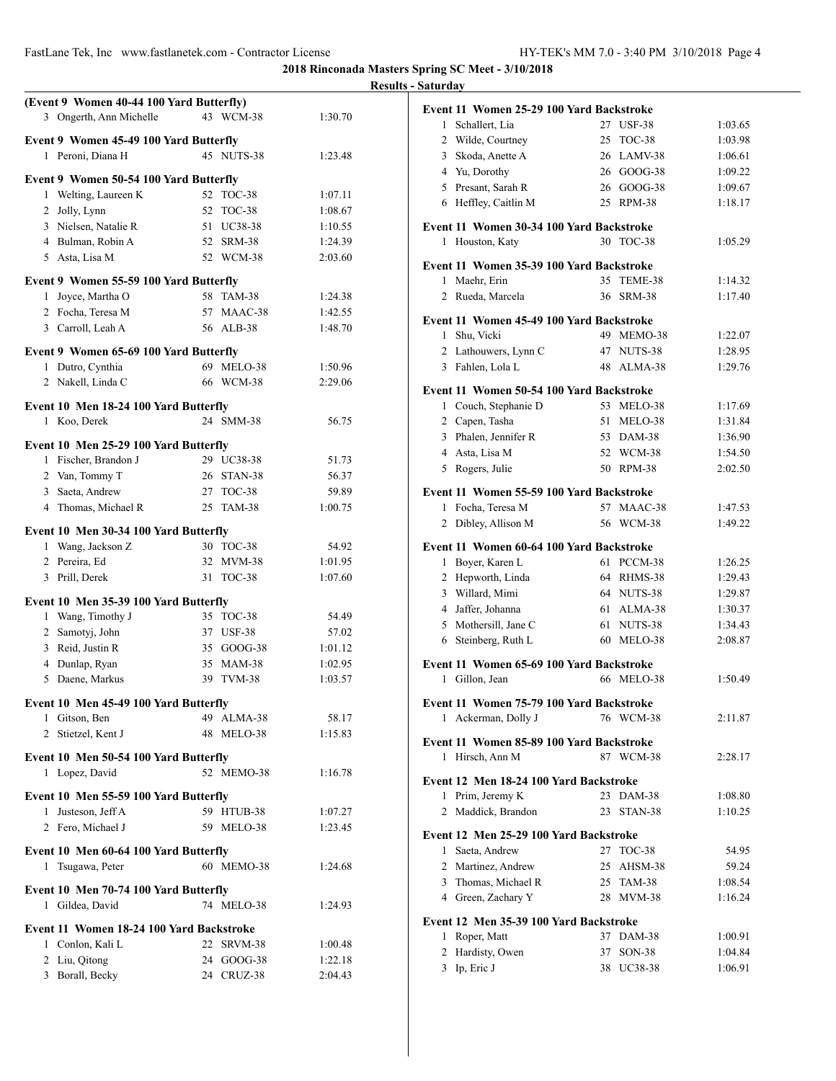**2018 Rinconada Masters Spring SC Meet - 3/10/2018**

## **(Event 9 Women 40-44 100 Yard Butterfly)** Ongerth, Ann Michelle 43 WCM-38 1:30.70 **Event 9 Women 45-49 100 Yard Butterfly** 1 Peroni, Diana H 45 NUTS-38 1:23.48 **Event 9 Women 50-54 100 Yard Butterfly** 1 Welting, Laureen K 52 TOC-38 1:07.11 Jolly, Lynn 52 TOC-38 1:08.67 Nielsen, Natalie R 51 UC38-38 1:10.55 Bulman, Robin A 52 SRM-38 1:24.39 Asta, Lisa M 52 WCM-38 2:03.60 **Event 9 Women 55-59 100 Yard Butterfly** Joyce, Martha O 58 TAM-38 1:24.38 Focha, Teresa M 57 MAAC-38 1:42.55 Carroll, Leah A 56 ALB-38 1:48.70 **Event 9 Women 65-69 100 Yard Butterfly** Dutro, Cynthia 69 MELO-38 1:50.96 2 Nakell, Linda C 66 WCM-38 2:29.06 **Event 10 Men 18-24 100 Yard Butterfly** Koo, Derek 24 SMM-38 56.75 **Event 10 Men 25-29 100 Yard Butterfly** 1 Fischer, Brandon J 29 UC38-38 51.73 2 Van, Tommy T 26 STAN-38 56.37 Saeta, Andrew 27 TOC-38 59.89 Thomas, Michael R 25 TAM-38 1:00.75 **Event 10 Men 30-34 100 Yard Butterfly** Wang, Jackson Z 30 TOC-38 54.92 Pereira, Ed 32 MVM-38 1:01.95 Prill, Derek 31 TOC-38 1:07.60 **Event 10 Men 35-39 100 Yard Butterfly** 1 Wang, Timothy J 35 TOC-38 54.49 Samotyj, John 37 USF-38 57.02 Reid, Justin R 35 GOOG-38 1:01.12 Dunlap, Ryan 35 MAM-38 1:02.95 Daene, Markus 39 TVM-38 1:03.57 **Event 10 Men 45-49 100 Yard Butterfly** Gitson, Ben 49 ALMA-38 58.17 2 Stietzel, Kent J 48 MELO-38 1:15.83 **Event 10 Men 50-54 100 Yard Butterfly** Lopez, David 52 MEMO-38 1:16.78 **Event 10 Men 55-59 100 Yard Butterfly** Justeson, Jeff A 59 HTUB-38 1:07.27 2 Fero, Michael J 59 MELO-38 1:23.45 **Event 10 Men 60-64 100 Yard Butterfly** Tsugawa, Peter 60 MEMO-38 1:24.68 **Event 10 Men 70-74 100 Yard Butterfly** Gildea, David 74 MELO-38 1:24.93 **Event 11 Women 18-24 100 Yard Backstroke** Conlon, Kali L 22 SRVM-38 1:00.48 Liu, Qitong 24 GOOG-38 1:22.18 Borall, Becky 24 CRUZ-38 2:04.43

| <b>Results - Saturday</b> |                                          |            |         |
|---------------------------|------------------------------------------|------------|---------|
|                           | Event 11 Women 25-29 100 Yard Backstroke |            |         |
| 1 Schallert, Lia          |                                          | 27 USF-38  | 1:03.65 |
| 2 Wilde, Courtney         |                                          | 25 TOC-38  | 1:03.98 |
| 3 Skoda, Anette A         |                                          | 26 LAMV-38 | 1:06.61 |
| 4 Yu, Dorothy             |                                          | 26 GOOG-38 | 1:09.22 |
| 5 Presant, Sarah R        |                                          | 26 GOOG-38 | 1:09.67 |
| 6 Heffley, Caitlin M      |                                          | 25 RPM-38  | 1:18.17 |
|                           | Event 11 Women 30-34 100 Yard Backstroke |            |         |
| 1 Houston, Katy           |                                          | 30 TOC-38  | 1:05.29 |
|                           | Event 11 Women 35-39 100 Yard Backstroke |            |         |
| 1 Maehr, Erin             |                                          | 35 TEME-38 | 1:14.32 |
| 2 Rueda, Marcela          |                                          | 36 SRM-38  | 1:17.40 |
|                           |                                          |            |         |
| Shu, Vicki<br>1           | Event 11 Women 45-49 100 Yard Backstroke | 49 MEMO-38 | 1:22.07 |
| 2                         | Lathouwers, Lynn C                       | 47 NUTS-38 | 1:28.95 |
| 3 Fahlen, Lola L          |                                          | 48 ALMA-38 | 1:29.76 |
|                           |                                          |            |         |
|                           | Event 11 Women 50-54 100 Yard Backstroke |            |         |
|                           | 1 Couch, Stephanie D                     | 53 MELO-38 | 1:17.69 |
| 2 Capen, Tasha            |                                          | 51 MELO-38 | 1:31.84 |
| 3 Phalen, Jennifer R      |                                          | 53 DAM-38  | 1:36.90 |
| 4 Asta, Lisa M            |                                          | 52 WCM-38  | 1:54.50 |
| 5 Rogers, Julie           |                                          | 50 RPM-38  | 2:02.50 |
|                           | Event 11 Women 55-59 100 Yard Backstroke |            |         |
| 1                         | Focha, Teresa M                          | 57 MAAC-38 | 1:47.53 |
| 2 Dibley, Allison M       |                                          | 56 WCM-38  | 1:49.22 |
|                           | Event 11 Women 60-64 100 Yard Backstroke |            |         |
| 1 Boyer, Karen L          |                                          | 61 PCCM-38 | 1:26.25 |
| 2 Hepworth, Linda         |                                          | 64 RHMS-38 | 1:29.43 |
| 3 Willard, Mimi           |                                          | 64 NUTS-38 | 1:29.87 |
| 4 Jaffer, Johanna         |                                          | 61 ALMA-38 | 1:30.37 |
| 5 Mothersill, Jane C      |                                          | 61 NUTS-38 | 1:34.43 |
| 6 Steinberg, Ruth L       |                                          | 60 MELO-38 | 2:08.87 |
|                           | Event 11 Women 65-69 100 Yard Backstroke |            |         |
| 1 Gillon, Jean            |                                          | 66 MELO-38 | 1:50.49 |
|                           | Event 11 Women 75-79 100 Yard Backstroke |            |         |
| 1                         | Ackerman, Dolly J                        | 76 WCM-38  | 2:11.87 |
|                           |                                          |            |         |
|                           | Event 11 Women 85-89 100 Yard Backstroke |            |         |
| 1 Hirsch, Ann M           |                                          | 87 WCM-38  | 2:28.17 |
|                           | Event 12 Men 18-24 100 Yard Backstroke   |            |         |
| 1 Prim, Jeremy K          |                                          | 23 DAM-38  | 1:08.80 |
| 2 Maddick, Brandon        |                                          | 23 STAN-38 | 1:10.25 |
|                           | Event 12 Men 25-29 100 Yard Backstroke   |            |         |
| 1 Saeta, Andrew           |                                          | 27 TOC-38  | 54.95   |
| 2 Martinez, Andrew        |                                          | 25 AHSM-38 | 59.24   |
|                           | 3 Thomas, Michael R                      | 25 TAM-38  | 1:08.54 |
| 4 Green, Zachary Y        |                                          | 28 MVM-38  | 1:16.24 |
|                           | Event 12 Men 35-39 100 Yard Backstroke   |            |         |
| 1 Roper, Matt             |                                          | 37 DAM-38  | 1:00.91 |
| 2 Hardisty, Owen          |                                          | 37 SON-38  | 1:04.84 |
| 3 Ip, Eric J              |                                          | 38 UC38-38 | 1:06.91 |
|                           |                                          |            |         |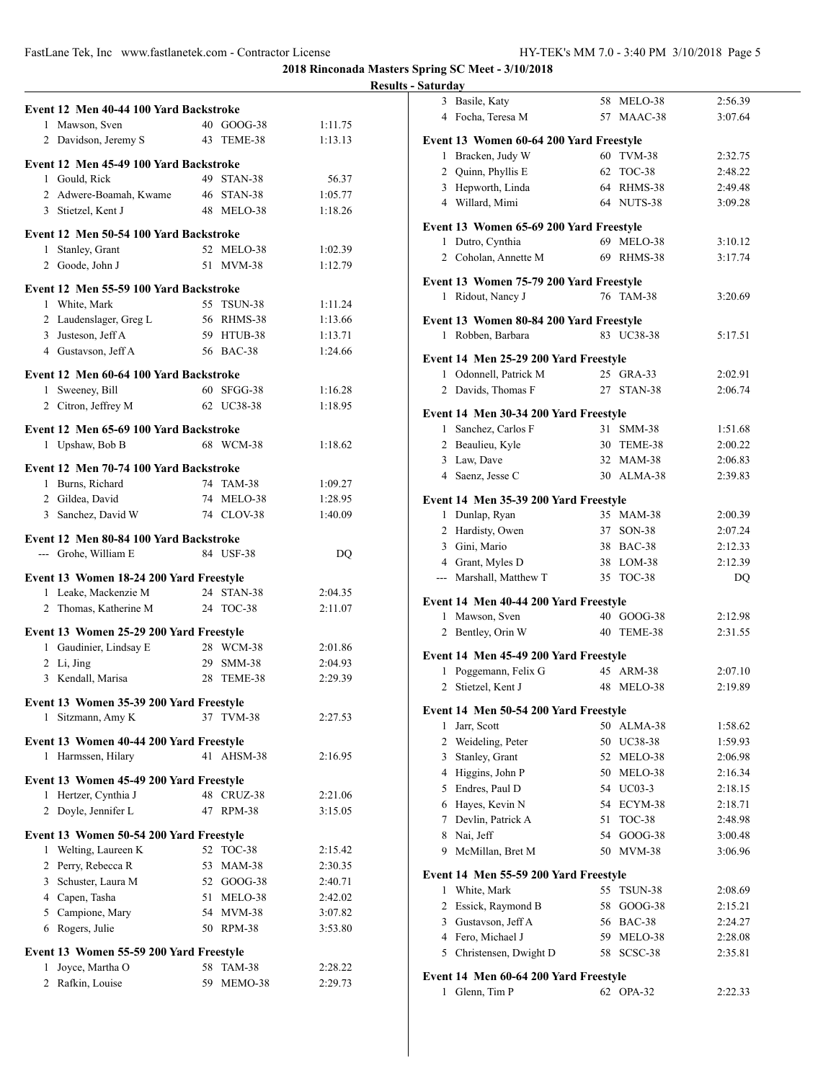**2018 Rinconada Masters Spring SC Meet - 3/10/2018**

### **Results - Saturday**

|                |                                         |     |               | Ņ                  |
|----------------|-----------------------------------------|-----|---------------|--------------------|
|                | Event 12 Men 40-44 100 Yard Backstroke  |     |               |                    |
|                | 1 Mawson, Sven                          |     | 40 GOOG-38    | 1:11.75            |
|                | 2 Davidson, Jeremy S                    |     | 43 TEME-38    | 1:13.13            |
|                | Event 12 Men 45-49 100 Yard Backstroke  |     |               |                    |
|                | 1 Gould, Rick                           |     | 49 STAN-38    | 56.37              |
|                | 2 Adwere-Boamah, Kwame                  |     | 46 STAN-38    | 1:05.77            |
|                |                                         |     |               |                    |
|                | 3 Stietzel, Kent J                      |     | 48 MELO-38    | 1:18.26            |
|                | Event 12 Men 50-54 100 Yard Backstroke  |     |               |                    |
|                | 1 Stanley, Grant                        |     | 52 MELO-38    | 1:02.39            |
|                | 2 Goode, John J                         |     | 51 MVM-38     | 1:12.79            |
|                | Event 12 Men 55-59 100 Yard Backstroke  |     |               |                    |
|                | 1 White, Mark                           |     | 55 TSUN-38    | 1:11.24            |
|                | 2 Laudenslager, Greg L                  |     | 56 RHMS-38    | 1:13.66            |
|                | 3 Justeson, Jeff A                      |     | 59 HTUB-38    | 1:13.71            |
|                | 4 Gustavson, Jeff A                     |     | 56 BAC-38     | 1:24.66            |
|                | Event 12 Men 60-64 100 Yard Backstroke  |     |               |                    |
| 1              | Sweeney, Bill                           |     | 60 SFGG-38    |                    |
|                | 2 Citron, Jeffrey M                     |     | 62 UC38-38    | 1:16.28<br>1:18.95 |
|                |                                         |     |               |                    |
|                | Event 12 Men 65-69 100 Yard Backstroke  |     |               |                    |
|                | 1 Upshaw, Bob B                         |     | 68 WCM-38     | 1:18.62            |
|                | Event 12 Men 70-74 100 Yard Backstroke  |     |               |                    |
|                | 1 Burns, Richard                        |     | 74 TAM-38     | 1:09.27            |
|                | 2 Gildea, David                         |     | 74 MELO-38    | 1:28.95            |
|                | 3 Sanchez, David W                      |     | 74 CLOV-38    | 1:40.09            |
|                |                                         |     |               |                    |
|                | Event 12 Men 80-84 100 Yard Backstroke  |     |               |                    |
|                | --- Grohe, William E                    |     | 84 USF-38     | DQ                 |
|                | Event 13 Women 18-24 200 Yard Freestyle |     |               |                    |
|                | 1 Leake, Mackenzie M                    |     | 24 STAN-38    | 2:04.35            |
| 2              | Thomas, Katherine M                     |     | 24 TOC-38     | 2:11.07            |
|                | Event 13 Women 25-29 200 Yard Freestyle |     |               |                    |
|                | 1 Gaudinier, Lindsay E                  |     | 28 WCM-38     | 2:01.86            |
|                | 2 Li, Jing                              |     | 29 SMM-38     | 2:04.93            |
|                | 3 Kendall, Marisa                       |     | 28 TEME-38    | 2:29.39            |
|                |                                         |     |               |                    |
|                | Event 13 Women 35-39 200 Yard Freestyle |     |               |                    |
| 1              | Sitzmann, Amy K                         | 37  | <b>TVM-38</b> | 2:27.53            |
|                | Event 13 Women 40-44 200 Yard Freestyle |     |               |                    |
|                | 1 Harmssen, Hilary                      | 41  | AHSM-38       | 2:16.95            |
|                | Event 13 Women 45-49 200 Yard Freestyle |     |               |                    |
|                | 1 Hertzer, Cynthia J                    |     | 48 CRUZ-38    | 2:21.06            |
|                | 2 Doyle, Jennifer L                     |     | 47 RPM-38     | 3:15.05            |
|                |                                         |     |               |                    |
|                | Event 13 Women 50-54 200 Yard Freestyle |     |               |                    |
| 1              | Welting, Laureen K                      | 52  | <b>TOC-38</b> | 2:15.42            |
|                | 2 Perry, Rebecca R                      | 53  | <b>MAM-38</b> | 2:30.35            |
|                | 3 Schuster, Laura M                     |     | 52 GOOG-38    | 2:40.71            |
|                | 4 Capen, Tasha                          | 51  | MELO-38       | 2:42.02            |
|                | 5 Campione, Mary                        |     | 54 MVM-38     | 3:07.82            |
|                | 6 Rogers, Julie                         |     | 50 RPM-38     | 3:53.80            |
|                | Event 13 Women 55-59 200 Yard Freestyle |     |               |                    |
| 1              | Joyce, Martha O                         |     | 58 TAM-38     | 2:28.22            |
| $\overline{2}$ | Rafkin, Louise                          | 59. | MEMO-38       | 2:29.73            |
|                |                                         |     |               |                    |

|                | 3 Basile, Katy                          | 58 | MELO-38       | 2:56.39 |  |  |  |
|----------------|-----------------------------------------|----|---------------|---------|--|--|--|
|                | 4 Focha, Teresa M                       |    | 57 MAAC-38    | 3:07.64 |  |  |  |
|                |                                         |    |               |         |  |  |  |
|                | Event 13 Women 60-64 200 Yard Freestyle |    |               |         |  |  |  |
|                | 1 Bracken, Judy W                       |    | 60 TVM-38     | 2:32.75 |  |  |  |
|                | 2 Quinn, Phyllis E                      |    | 62 TOC-38     | 2:48.22 |  |  |  |
|                | 3 Hepworth, Linda                       |    | 64 RHMS-38    | 2:49.48 |  |  |  |
|                | 4 Willard, Mimi                         |    | 64 NUTS-38    | 3:09.28 |  |  |  |
|                | Event 13 Women 65-69 200 Yard Freestyle |    |               |         |  |  |  |
|                | 1 Dutro, Cynthia                        |    | 69 MELO-38    | 3:10.12 |  |  |  |
|                | 2 Coholan, Annette M                    |    | 69 RHMS-38    | 3:17.74 |  |  |  |
|                |                                         |    |               |         |  |  |  |
|                | Event 13 Women 75-79 200 Yard Freestyle |    |               |         |  |  |  |
|                | 1 Ridout, Nancy J                       |    | 76 TAM-38     | 3:20.69 |  |  |  |
|                |                                         |    |               |         |  |  |  |
|                | Event 13 Women 80-84 200 Yard Freestyle |    |               |         |  |  |  |
|                | 1 Robben, Barbara                       |    | 83 UC38-38    | 5:17.51 |  |  |  |
|                | Event 14 Men 25-29 200 Yard Freestyle   |    |               |         |  |  |  |
|                | 1 Odonnell, Patrick M                   |    | 25 GRA-33     | 2:02.91 |  |  |  |
|                | 2 Davids, Thomas F                      |    | 27 STAN-38    | 2:06.74 |  |  |  |
|                |                                         |    |               |         |  |  |  |
|                | Event 14 Men 30-34 200 Yard Freestyle   |    |               |         |  |  |  |
|                | 1 Sanchez, Carlos F                     |    | 31 SMM-38     | 1:51.68 |  |  |  |
|                | 2 Beaulieu, Kyle                        |    | 30 TEME-38    | 2:00.22 |  |  |  |
|                | 3 Law, Dave                             |    | 32 MAM-38     | 2:06.83 |  |  |  |
|                | 4 Saenz, Jesse C                        |    | 30 ALMA-38    | 2:39.83 |  |  |  |
|                | Event 14 Men 35-39 200 Yard Freestyle   |    |               |         |  |  |  |
|                | 1 Dunlap, Ryan                          |    | 35 MAM-38     | 2:00.39 |  |  |  |
|                | 2 Hardisty, Owen                        |    | 37 SON-38     | 2:07.24 |  |  |  |
|                | 3 Gini, Mario                           |    | 38 BAC-38     | 2:12.33 |  |  |  |
|                | 4 Grant, Myles D                        |    | 38 LOM-38     | 2:12.39 |  |  |  |
|                | --- Marshall, Matthew T                 |    | 35 TOC-38     | DQ      |  |  |  |
|                |                                         |    |               |         |  |  |  |
|                | Event 14 Men 40-44 200 Yard Freestyle   |    |               |         |  |  |  |
|                | 1 Mawson, Sven                          |    | 40 GOOG-38    | 2:12.98 |  |  |  |
| 2              | Bentley, Orin W                         |    | 40 TEME-38    | 2:31.55 |  |  |  |
|                | Event 14 Men 45-49 200 Yard Freestyle   |    |               |         |  |  |  |
|                | 1 Poggemann, Felix G                    |    | 45 ARM-38     | 2:07.10 |  |  |  |
|                | 2 Stietzel, Kent J                      |    | 48 MELO-38    | 2:19.89 |  |  |  |
|                |                                         |    |               |         |  |  |  |
|                | Event 14 Men 50-54 200 Yard Freestyle   |    |               |         |  |  |  |
| 1              | Jarr, Scott                             | 50 | ALMA-38       | 1:58.62 |  |  |  |
| $\overline{c}$ | Weideling, Peter                        |    | 50 UC38-38    | 1:59.93 |  |  |  |
| 3              | Stanley, Grant                          |    | 52 MELO-38    | 2:06.98 |  |  |  |
|                | 4 Higgins, John P                       |    | 50 MELO-38    | 2:16.34 |  |  |  |
|                | 5 Endres, Paul D                        |    | 54 UC03-3     | 2:18.15 |  |  |  |
|                | 6 Haves, Kevin N                        |    | 54 ECYM-38    | 2:18.71 |  |  |  |
|                | 7 Devlin, Patrick A                     | 51 | TOC-38        | 2:48.98 |  |  |  |
|                | 8 Nai, Jeff                             | 54 | $GOOG-38$     | 3:00.48 |  |  |  |
| 9              | McMillan, Bret M                        | 50 | <b>MVM-38</b> | 3:06.96 |  |  |  |
|                |                                         |    |               |         |  |  |  |
|                | Event 14 Men 55-59 200 Yard Freestyle   |    |               |         |  |  |  |
| 1              | White, Mark                             | 55 | TSUN-38       | 2:08.69 |  |  |  |
| 2              | Essick, Raymond B                       | 58 | GOOG-38       | 2:15.21 |  |  |  |
|                | 3 Gustavson, Jeff A                     |    | 56 BAC-38     | 2:24.27 |  |  |  |
|                | 4 Fero, Michael J                       |    | 59 MELO-38    | 2:28.08 |  |  |  |
| 5              | Christensen, Dwight D                   | 58 | SCSC-38       | 2:35.81 |  |  |  |
|                | Event 14 Men 60-64 200 Yard Freestyle   |    |               |         |  |  |  |
| 1              | Glenn, Tim P                            | 62 | OPA-32        | 2:22.33 |  |  |  |
|                |                                         |    |               |         |  |  |  |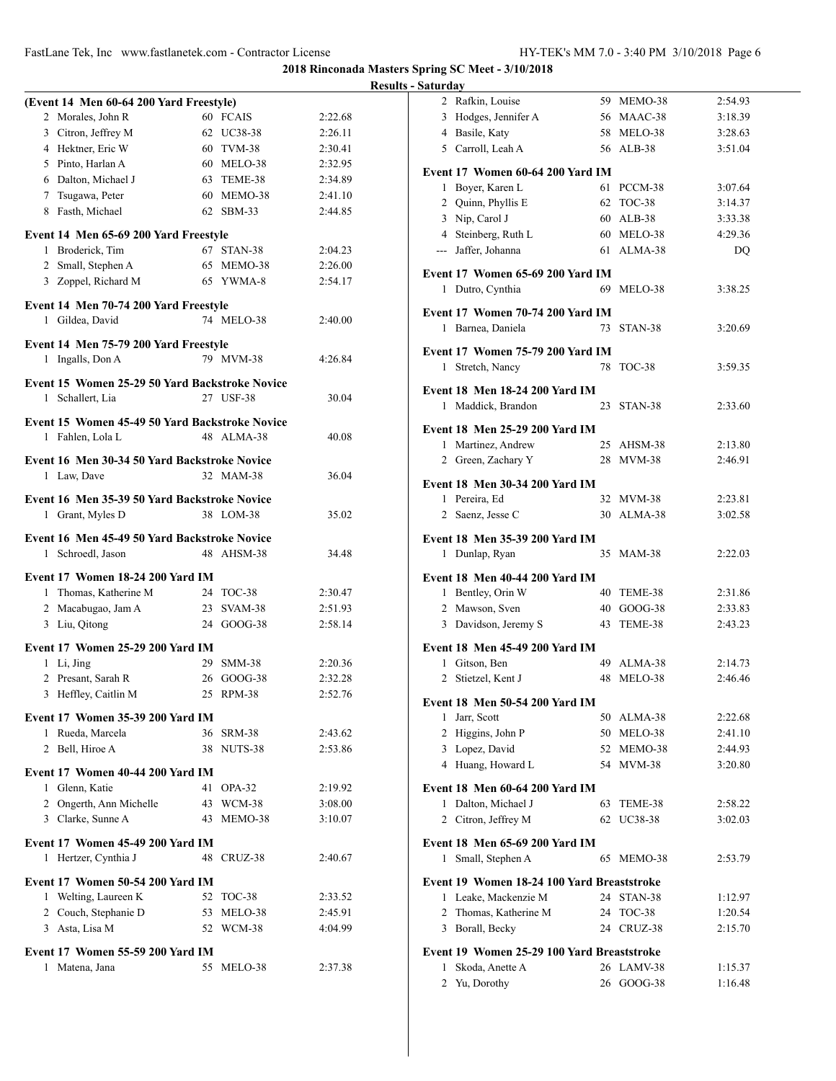**2018 Rinconada Masters Spring SC Meet - 3/10/2018**

### **Results - Saturday**

| (Event 14 Men 60-64 200 Yard Freestyle)        |                     |         |
|------------------------------------------------|---------------------|---------|
| 2 Morales, John R                              | 60 FCAIS            | 2:22.68 |
| 3 Citron, Jeffrey M                            | 62<br>UC38-38       | 2:26.11 |
| 4 Hektner, Eric W                              | 60 TVM-38           | 2:30.41 |
| 5 Pinto, Harlan A                              | 60 MELO-38          | 2:32.95 |
| 6 Dalton, Michael J                            | TEME-38<br>63       | 2:34.89 |
| 7 Tsugawa, Peter                               | 60 MEMO-38          | 2:41.10 |
| 8 Fasth, Michael                               | 62 SBM-33           | 2:44.85 |
| Event 14 Men 65-69 200 Yard Freestyle          |                     |         |
| 1 Broderick, Tim                               | 67<br>STAN-38       | 2:04.23 |
| 2 Small, Stephen A                             | 65 MEMO-38          | 2:26.00 |
| 3 Zoppel, Richard M                            | 65 YWMA-8           | 2:54.17 |
|                                                |                     |         |
| Event 14 Men 70-74 200 Yard Freestyle          |                     |         |
| 1 Gildea, David                                | 74 MELO-38          | 2:40.00 |
| Event 14 Men 75-79 200 Yard Freestyle          |                     |         |
| Ingalls, Don A<br>1                            | 79 MVM-38           | 4:26.84 |
|                                                |                     |         |
| Event 15 Women 25-29 50 Yard Backstroke Novice |                     |         |
| Schallert, Lia<br>1                            | 27 USF-38           | 30.04   |
| Event 15 Women 45-49 50 Yard Backstroke Novice |                     |         |
| 1 Fahlen, Lola L                               | 48 ALMA-38          | 40.08   |
| Event 16 Men 30-34 50 Yard Backstroke Novice   |                     |         |
| 1 Law, Dave                                    | 32 MAM-38           | 36.04   |
|                                                |                     |         |
| Event 16 Men 35-39 50 Yard Backstroke Novice   |                     |         |
| Grant, Myles D<br>1                            | 38 LOM-38           | 35.02   |
| Event 16 Men 45-49 50 Yard Backstroke Novice   |                     |         |
| Schroedl, Jason<br>1                           | 48 AHSM-38          | 34.48   |
|                                                |                     |         |
| Event 17 Women 18-24 200 Yard IM               |                     |         |
| 1 Thomas, Katherine M                          | 24 TOC-38           | 2:30.47 |
| 2 Macabugao, Jam A                             | 23<br>SVAM-38       | 2:51.93 |
| 3 Liu, Qitong                                  | 24 GOOG-38          | 2:58.14 |
| Event 17 Women 25-29 200 Yard IM               |                     |         |
| 1 Li, Jing                                     | 29<br><b>SMM-38</b> | 2:20.36 |
| 2 Presant, Sarah R                             | 26<br>$GOOG-38$     | 2:32.28 |
| Heffley, Caitlin M<br>3                        | RPM-38<br>25        | 2:52.76 |
| Event 17 Women 35-39 200 Yard IM               |                     |         |
| 1 Rueda, Marcela                               | 36 SRM-38           | 2:43.62 |
| 2 Bell, Hiroe A                                | 38 NUTS-38          | 2:53.86 |
|                                                |                     |         |
| Event 17 Women 40-44 200 Yard IM               |                     |         |
| 1 Glenn, Katie                                 | 41<br>OPA-32        | 2:19.92 |
| 2 Ongerth, Ann Michelle                        | 43 WCM-38           | 3:08.00 |
| 3 Clarke, Sunne A                              | MEMO-38<br>43       | 3:10.07 |
| Event 17 Women 45-49 200 Yard IM               |                     |         |
| Hertzer, Cynthia J<br>1                        | 48<br>CRUZ-38       | 2:40.67 |
|                                                |                     |         |
| <b>Event 17 Women 50-54 200 Yard IM</b>        |                     |         |
| 1 Welting, Laureen K                           | 52 TOC-38           | 2:33.52 |
| 2 Couch, Stephanie D                           | 53<br>MELO-38       | 2:45.91 |
| 3 Asta, Lisa M                                 | 52 WCM-38           | 4:04.99 |
| <b>Event 17 Women 55-59 200 Yard IM</b>        |                     |         |
| Matena, Jana<br>1                              | 55<br>MELO-38       | 2:37.38 |
|                                                |                     |         |

|                | 2 Rafkin, Louise                           |    | 59 MEMO-38               | 2:54.93            |
|----------------|--------------------------------------------|----|--------------------------|--------------------|
|                | 3 Hodges, Jennifer A                       |    | 56 MAAC-38               | 3:18.39            |
|                | 4 Basile, Katy                             |    | 58 MELO-38               | 3:28.63            |
|                | 5 Carroll, Leah A                          |    | 56 ALB-38                | 3:51.04            |
|                |                                            |    |                          |                    |
|                | Event 17 Women 60-64 200 Yard IM           |    |                          |                    |
|                | 1 Boyer, Karen L                           |    | 61 PCCM-38               | 3:07.64            |
|                | 2 Quinn, Phyllis E                         |    | 62 TOC-38                | 3:14.37            |
|                | 3 Nip, Carol J                             |    | 60 ALB-38                | 3:33.38            |
|                | 4 Steinberg, Ruth L                        |    | 60 MELO-38               | 4:29.36            |
|                | --- Jaffer, Johanna                        |    | 61 ALMA-38               | DQ                 |
|                | Event 17 Women 65-69 200 Yard IM           |    |                          |                    |
|                | 1 Dutro, Cynthia                           | 69 | MELO-38                  | 3:38.25            |
|                |                                            |    |                          |                    |
|                | Event 17 Women 70-74 200 Yard IM           |    |                          |                    |
|                | 1 Barnea, Daniela                          |    | 73 STAN-38               | 3:20.69            |
|                | Event 17 Women 75-79 200 Yard IM           |    |                          |                    |
|                | 1 Stretch, Nancy                           | 78 | TOC-38                   | 3:59.35            |
|                | <b>Event 18 Men 18-24 200 Yard IM</b>      |    |                          |                    |
|                | Maddick, Brandon                           | 23 |                          |                    |
| 1              |                                            |    | STAN-38                  | 2:33.60            |
|                | <b>Event 18 Men 25-29 200 Yard IM</b>      |    |                          |                    |
| 1              | Martinez, Andrew                           |    | 25 AHSM-38               | 2:13.80            |
|                | 2 Green, Zachary Y                         |    | 28 MVM-38                | 2:46.91            |
|                | Event 18 Men 30-34 200 Yard IM             |    |                          |                    |
|                |                                            |    |                          |                    |
| $\overline{2}$ | 1 Pereira, Ed<br>Saenz, Jesse C            |    | 32 MVM-38<br>30 ALMA-38  | 2:23.81            |
|                |                                            |    |                          | 3:02.58            |
|                | Event 18 Men 35-39 200 Yard IM             |    |                          |                    |
|                | 1 Dunlap, Ryan                             | 35 | <b>MAM-38</b>            | 2:22.03            |
|                |                                            |    |                          |                    |
|                |                                            |    |                          |                    |
|                | <b>Event 18 Men 40-44 200 Yard IM</b>      |    |                          |                    |
|                | 1 Bentley, Orin W                          |    | 40 TEME-38               | 2:31.86            |
|                | 2 Mawson, Sven                             |    | 40 GOOG-38               | 2:33.83            |
|                | 3 Davidson, Jeremy S                       | 43 | TEME-38                  | 2:43.23            |
|                | <b>Event 18 Men 45-49 200 Yard IM</b>      |    |                          |                    |
|                | 1 Gitson, Ben                              | 49 | ALMA-38                  | 2:14.73            |
|                | 2 Stietzel, Kent J                         | 48 | MELO-38                  | 2:46.46            |
|                |                                            |    |                          |                    |
|                | <b>Event 18 Men 50-54 200 Yard IM</b>      |    |                          |                    |
| 1              | Jarr, Scott                                | 50 | ALMA-38                  | 2:22.68            |
|                | 2 Higgins, John P                          |    | 50 MELO-38               | 2:41.10            |
|                | 3 Lopez, David                             | 52 | MEMO-38                  | 2:44.93            |
|                | 4 Huang, Howard L                          |    | 54 MVM-38                | 3:20.80            |
|                | Event 18 Men 60-64 200 Yard IM             |    |                          |                    |
|                | 1 Dalton, Michael J                        | 63 | TEME-38                  | 2:58.22            |
| 2              | Citron, Jeffrey M                          | 62 | UC38-38                  | 3:02.03            |
|                |                                            |    |                          |                    |
|                | Event 18 Men 65-69 200 Yard IM             |    |                          |                    |
| 1              | Small, Stephen A                           | 65 | MEMO-38                  | 2:53.79            |
|                | Event 19 Women 18-24 100 Yard Breaststroke |    |                          |                    |
| 1              | Leake, Mackenzie M                         | 24 | STAN-38                  | 1:12.97            |
| 2              | Thomas, Katherine M                        | 24 | TOC-38                   | 1:20.54            |
|                | 3 Borall, Becky                            | 24 | CRUZ-38                  | 2:15.70            |
|                |                                            |    |                          |                    |
|                | Event 19 Women 25-29 100 Yard Breaststroke |    |                          |                    |
| 1<br>2         | Skoda, Anette A<br>Yu, Dorothy             |    | 26 LAMV-38<br>26 GOOG-38 | 1:15.37<br>1:16.48 |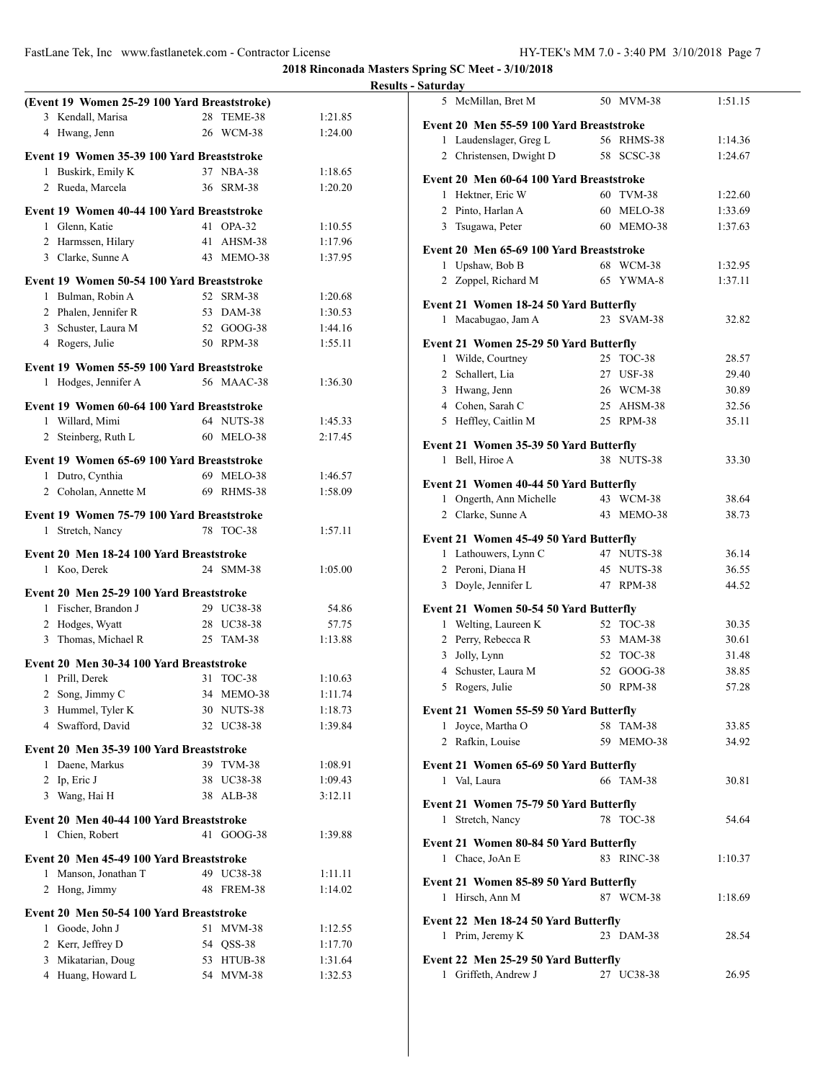|                                              |                          |                    | <b>Results - Saturday</b> |
|----------------------------------------------|--------------------------|--------------------|---------------------------|
| (Event 19 Women 25-29 100 Yard Breaststroke) |                          |                    | 5 Mc                      |
| 3 Kendall, Marisa                            | 28 TEME-38               | 1:21.85            | <b>Event 20</b>           |
| 4 Hwang, Jenn                                | 26 WCM-38                | 1:24.00            | $1$ La                    |
| Event 19 Women 35-39 100 Yard Breaststroke   |                          |                    | 2 Ch                      |
| 1 Buskirk, Emily K                           | 37 NBA-38                | 1:18.65            |                           |
| 2 Rueda, Marcela                             | 36 SRM-38                | 1:20.20            | <b>Event 20</b>           |
|                                              |                          |                    | 1 He                      |
| Event 19 Women 40-44 100 Yard Breaststroke   |                          |                    | 2 Pin                     |
| 1 Glenn, Katie                               | 41 OPA-32                | 1:10.55            | 3<br>Tsı                  |
| 2 Harmssen, Hilary                           | 41 AHSM-38               | 1:17.96            | <b>Event 20</b>           |
| 3 Clarke, Sunne A                            | 43 MEMO-38               | 1:37.95            | $1$ Up                    |
| Event 19 Women 50-54 100 Yard Breaststroke   |                          |                    | $2 \text{ } Zo$           |
| 1 Bulman, Robin A                            | 52 SRM-38                | 1:20.68            | <b>Event 21</b>           |
| 2 Phalen, Jennifer R                         | 53 DAM-38                | 1:30.53            | 1 Ma                      |
| 3 Schuster, Laura M                          | 52 GOOG-38               | 1:44.16            |                           |
| 4 Rogers, Julie                              | 50 RPM-38                | 1:55.11            | Event 21                  |
| Event 19 Women 55-59 100 Yard Breaststroke   |                          |                    | Wi<br>1                   |
| 1 Hodges, Jennifer A                         | 56 MAAC-38               | 1:36.30            | 2 Scl                     |
|                                              |                          |                    | 3 Hw                      |
| Event 19 Women 60-64 100 Yard Breaststroke   |                          |                    | 4 Co                      |
| 1 Willard, Mimi                              | 64 NUTS-38<br>60 MELO-38 | 1:45.33<br>2:17.45 | 5 He                      |
| 2 Steinberg, Ruth L                          |                          |                    | Event 21                  |
| Event 19 Women 65-69 100 Yard Breaststroke   |                          |                    | 1 Be                      |
| 1 Dutro, Cynthia                             | 69 MELO-38               | 1:46.57            | Event 21                  |
| 2 Coholan, Annette M                         | 69 RHMS-38               | 1:58.09            | $1$ On                    |
| Event 19 Women 75-79 100 Yard Breaststroke   |                          |                    | $2 \text{ Cl}_2$          |
| 1 Stretch, Nancy                             | 78 TOC-38                | 1:57.11            |                           |
|                                              |                          |                    | Event 21                  |
| Event 20 Men 18-24 100 Yard Breaststroke     |                          |                    | 1 Lat                     |
| 1 Koo, Derek                                 | 24 SMM-38                | 1:05.00            | 2 Per                     |
| Event 20 Men 25-29 100 Yard Breaststroke     |                          |                    | $3$ D <sub>0</sub>        |
| 1 Fischer, Brandon J                         | 29 UC38-38               | 54.86              | Event 21                  |
| 2 Hodges, Wyatt                              | 28 UC38-38               | 57.75              | 1 We                      |
| 3 Thomas, Michael R                          | 25 TAM-38                | 1:13.88            | 2 Per                     |
| Event 20 Men 30-34 100 Yard Breaststroke     |                          |                    | Jol<br>3                  |
| 1 Prill, Derek                               | 31 TOC-38                | 1:10.63            | 4 Scl                     |
| 2 Song, Jimmy C                              | 34 MEMO-38               | 1:11.74            | 5 Ro                      |
| 3 Hummel, Tyler K                            | 30 NUTS-38               | 1:18.73            | Event 21                  |
| 4 Swafford, David                            | 32 UC38-38               | 1:39.84            | $1$ Joy                   |
| Event 20 Men 35-39 100 Yard Breaststroke     |                          |                    | 2 Ra                      |
| 1 Daene, Markus                              | 39 TVM-38                | 1:08.91            |                           |
| 2 Ip, Eric J                                 | 38 UC38-38               | 1:09.43            | <b>Event 21</b><br>1 Val  |
| 3 Wang, Hai H                                | 38 ALB-38                | 3:12.11            |                           |
|                                              |                          |                    | <b>Event 21</b>           |
| Event 20 Men 40-44 100 Yard Breaststroke     |                          |                    | 1 Str                     |
| 1 Chien, Robert                              | 41 GOOG-38               | 1:39.88            | Event 21                  |
| Event 20 Men 45-49 100 Yard Breaststroke     |                          |                    | 1 Ch                      |
| 1 Manson, Jonathan T                         | 49 UC38-38               | 1:11.11            |                           |
| 2 Hong, Jimmy                                | 48 FREM-38               | 1:14.02            | <b>Event 21</b>           |
|                                              |                          |                    | 1 Hir                     |
| Event 20 Men 50-54 100 Yard Breaststroke     |                          |                    | <b>Event 22</b>           |
| 1 Goode, John J                              | 51 MVM-38                | 1:12.55            | 1 Pri                     |
| 2 Kerr, Jeffrey D                            | 54 QSS-38                | 1:17.70<br>1:31.64 | <b>Event 22</b>           |
| 3 Mikatarian, Doug<br>4 Huang, Howard L      | 53 HTUB-38<br>54 MVM-38  | 1:32.53            | 1 Gri                     |
|                                              |                          |                    |                           |

| 5                                        | McMillan, Bret M                         |  | 50 MVM-38  | 1:51.15 |  |  |  |  |
|------------------------------------------|------------------------------------------|--|------------|---------|--|--|--|--|
| Event 20 Men 55-59 100 Yard Breaststroke |                                          |  |            |         |  |  |  |  |
| 1                                        | Laudenslager, Greg L                     |  | 56 RHMS-38 | 1:14.36 |  |  |  |  |
|                                          | 2 Christensen, Dwight D                  |  | 58 SCSC-38 | 1:24.67 |  |  |  |  |
|                                          |                                          |  |            |         |  |  |  |  |
|                                          | Event 20 Men 60-64 100 Yard Breaststroke |  |            |         |  |  |  |  |
|                                          | 1 Hektner, Eric W                        |  | 60 TVM-38  | 1:22.60 |  |  |  |  |
|                                          | 2 Pinto, Harlan A                        |  | 60 MELO-38 | 1:33.69 |  |  |  |  |
|                                          | 3 Tsugawa, Peter                         |  | 60 MEMO-38 | 1:37.63 |  |  |  |  |
|                                          | Event 20 Men 65-69 100 Yard Breaststroke |  |            |         |  |  |  |  |
|                                          | 1 Upshaw, Bob B                          |  | 68 WCM-38  | 1:32.95 |  |  |  |  |
|                                          | 2 Zoppel, Richard M                      |  | 65 YWMA-8  | 1:37.11 |  |  |  |  |
|                                          |                                          |  |            |         |  |  |  |  |
|                                          | Event 21 Women 18-24 50 Yard Butterfly   |  |            |         |  |  |  |  |
|                                          | 1 Macabugao, Jam A                       |  | 23 SVAM-38 | 32.82   |  |  |  |  |
|                                          | Event 21 Women 25-29 50 Yard Butterfly   |  |            |         |  |  |  |  |
|                                          | 1 Wilde, Courtney                        |  | 25 TOC-38  | 28.57   |  |  |  |  |
|                                          | 2 Schallert, Lia                         |  | 27 USF-38  | 29.40   |  |  |  |  |
|                                          | 3 Hwang, Jenn                            |  | 26 WCM-38  | 30.89   |  |  |  |  |
|                                          | 4 Cohen, Sarah C                         |  | 25 AHSM-38 | 32.56   |  |  |  |  |
|                                          | 5 Heffley, Caitlin M                     |  | 25 RPM-38  | 35.11   |  |  |  |  |
|                                          |                                          |  |            |         |  |  |  |  |
|                                          | Event 21 Women 35-39 50 Yard Butterfly   |  |            |         |  |  |  |  |
|                                          | 1 Bell, Hiroe A                          |  | 38 NUTS-38 | 33.30   |  |  |  |  |
|                                          | Event 21 Women 40-44 50 Yard Butterfly   |  |            |         |  |  |  |  |
| 1                                        | Ongerth, Ann Michelle                    |  | 43 WCM-38  | 38.64   |  |  |  |  |
|                                          | 2 Clarke, Sunne A                        |  | 43 MEMO-38 | 38.73   |  |  |  |  |
|                                          | Event 21 Women 45-49 50 Yard Butterfly   |  |            |         |  |  |  |  |
|                                          | 1 Lathouwers, Lynn C                     |  | 47 NUTS-38 | 36.14   |  |  |  |  |
|                                          | 2 Peroni, Diana H                        |  | 45 NUTS-38 | 36.55   |  |  |  |  |
|                                          | 3 Doyle, Jennifer L                      |  | 47 RPM-38  | 44.52   |  |  |  |  |
|                                          |                                          |  |            |         |  |  |  |  |
|                                          | Event 21 Women 50-54 50 Yard Butterfly   |  |            |         |  |  |  |  |
|                                          | 1 Welting, Laureen K                     |  | 52 TOC-38  | 30.35   |  |  |  |  |
|                                          | 2 Perry, Rebecca R                       |  | 53 MAM-38  | 30.61   |  |  |  |  |
|                                          | 3 Jolly, Lynn                            |  | 52 TOC-38  | 31.48   |  |  |  |  |
|                                          | 4 Schuster, Laura M                      |  | 52 GOOG-38 | 38.85   |  |  |  |  |
|                                          | 5 Rogers, Julie                          |  | 50 RPM-38  | 57.28   |  |  |  |  |
|                                          | Event 21 Women 55-59 50 Yard Butterfly   |  |            |         |  |  |  |  |
|                                          | 1 Joyce, Martha O                        |  | 58 TAM-38  | 33.85   |  |  |  |  |
|                                          | 2 Rafkin, Louise                         |  | 59 MEMO-38 | 34.92   |  |  |  |  |
|                                          |                                          |  |            |         |  |  |  |  |
|                                          | Event 21 Women 65-69 50 Yard Butterfly   |  |            |         |  |  |  |  |
|                                          | 1 Val, Laura                             |  | 66 TAM-38  | 30.81   |  |  |  |  |
|                                          | Event 21 Women 75-79 50 Yard Butterfly   |  |            |         |  |  |  |  |
|                                          | 1 Stretch, Nancy                         |  | 78 TOC-38  | 54.64   |  |  |  |  |
|                                          | Event 21 Women 80-84 50 Yard Butterfly   |  |            |         |  |  |  |  |
|                                          | 1 Chace, JoAn E                          |  | 83 RINC-38 | 1:10.37 |  |  |  |  |
|                                          |                                          |  |            |         |  |  |  |  |
|                                          | Event 21 Women 85-89 50 Yard Butterfly   |  |            |         |  |  |  |  |
|                                          | 1 Hirsch, Ann M                          |  | 87 WCM-38  | 1:18.69 |  |  |  |  |
|                                          | Event 22 Men 18-24 50 Yard Butterfly     |  |            |         |  |  |  |  |
|                                          | 1 Prim, Jeremy K                         |  | 23 DAM-38  | 28.54   |  |  |  |  |
|                                          |                                          |  |            |         |  |  |  |  |
|                                          | Event 22 Men 25-29 50 Yard Butterfly     |  |            |         |  |  |  |  |
| 1                                        | Griffeth, Andrew J                       |  | 27 UC38-38 | 26.95   |  |  |  |  |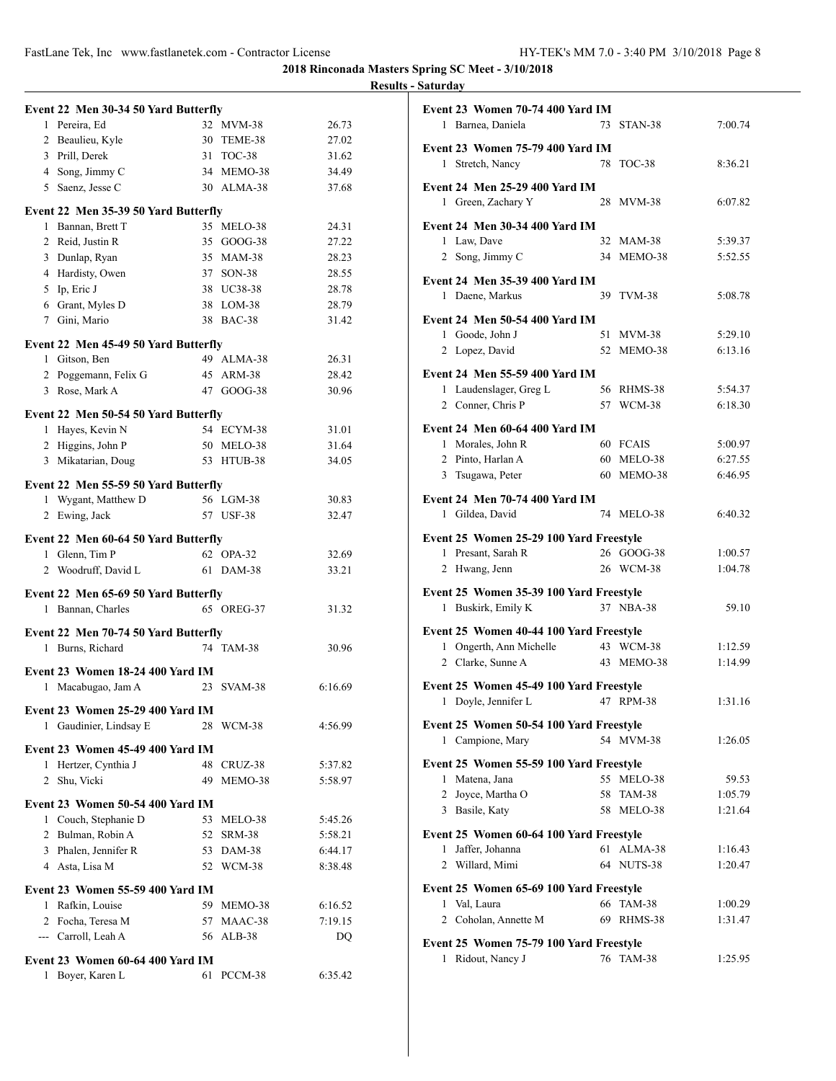**2018 Rinconada Masters Spring SC Meet - 3/10/2018 Results - Saturday**

# **Event 22 Men 30-34 50 Yard Butterfly** 1 Pereira, Ed 32 MVM-38 26.73 2 Beaulieu, Kyle 30 TEME-38 27.02 3 Prill, Derek 31 TOC-38 31.62 4 Song, Jimmy C 34 MEMO-38 34.49 5 Saenz, Jesse C 30 ALMA-38 37.68 **Event 22 Men 35-39 50 Yard Butterfly** 1 Bannan, Brett T 35 MELO-38 24.31 2 Reid, Justin R 35 GOOG-38 27.22 3 Dunlap, Ryan 35 MAM-38 28.23 4 Hardisty, Owen 37 SON-38 28.55 5 Ip, Eric J 38 UC38-38 28.78 6 Grant, Myles D 38 LOM-38 28.79 7 Gini, Mario 38 BAC-38 31.42 **Event 22 Men 45-49 50 Yard Butterfly** 1 Gitson, Ben 49 ALMA-38 26.31 2 Poggemann, Felix G 45 ARM-38 28.42 3 Rose, Mark A 47 GOOG-38 30.96 **Event 22 Men 50-54 50 Yard Butterfly** 1 Hayes, Kevin N 54 ECYM-38 31.01 2 Higgins, John P 50 MELO-38 31.64 3 Mikatarian, Doug 53 HTUB-38 34.05 **Event 22 Men 55-59 50 Yard Butterfly** 1 Wygant, Matthew D 56 LGM-38 30.83 2 Ewing, Jack 57 USF-38 32.47 **Event 22 Men 60-64 50 Yard Butterfly** 1 Glenn, Tim P 62 OPA-32 32.69 2 Woodruff, David L 61 DAM-38 33.21 **Event 22 Men 65-69 50 Yard Butterfly** 1 Bannan, Charles 65 OREG-37 31.32 **Event 22 Men 70-74 50 Yard Butterfly** 1 Burns, Richard 74 TAM-38 30.96 **Event 23 Women 18-24 400 Yard IM** 1 Macabugao, Jam A 23 SVAM-38 6:16.69 **Event 23 Women 25-29 400 Yard IM** 1 Gaudinier, Lindsay E 28 WCM-38 4:56.99 **Event 23 Women 45-49 400 Yard IM** 1 Hertzer, Cynthia J 48 CRUZ-38 5:37.82 2 Shu, Vicki 49 MEMO-38 5:58.97 **Event 23 Women 50-54 400 Yard IM** 1 Couch, Stephanie D 53 MELO-38 5:45.26 2 Bulman, Robin A 52 SRM-38 5:58.21 3 Phalen, Jennifer R 53 DAM-38 6:44.17 4 Asta, Lisa M 52 WCM-38 8:38.48 **Event 23 Women 55-59 400 Yard IM** 1 Rafkin, Louise 59 MEMO-38 6:16.52 2 Focha, Teresa M 57 MAAC-38 7:19.15 --- Carroll, Leah A 56 ALB-38 DQ **Event 23 Women 60-64 400 Yard IM** 1 Boyer, Karen L 61 PCCM-38 6:35.42

| <b>Event 23 Women 75-79 400 Yard IM</b><br>1 Stretch, Nancy<br>78<br>TOC-38<br>8:36.21<br><b>Event 24 Men 25-29 400 Yard IM</b><br>1 Green, Zachary Y<br>28 MVM-38<br>6:07.82<br><b>Event 24 Men 30-34 400 Yard IM</b><br>1 Law, Dave<br>32 MAM-38<br>5:39.37<br>2 Song, Jimmy C<br>34 MEMO-38<br>5:52.55<br><b>Event 24 Men 35-39 400 Yard IM</b><br>1 Daene, Markus<br>39 TVM-38<br>5:08.78<br><b>Event 24 Men 50-54 400 Yard IM</b><br>1 Goode, John J<br>51 MVM-38<br>5:29.10<br>52 MEMO-38<br>6:13.16<br>2 Lopez, David<br>Event 24 Men 55-59 400 Yard IM<br>1 Laudenslager, Greg L<br>56 RHMS-38<br>5:54.37<br>2 Conner, Chris P<br>57 WCM-38<br>6:18.30<br><b>Event 24 Men 60-64 400 Yard IM</b><br>1 Morales, John R<br>60 FCAIS<br>5:00.97<br>6:27.55<br>2 Pinto, Harlan A<br>60 MELO-38<br>MEMO-38<br>6:46.95<br>3 Tsugawa, Peter<br>60<br><b>Event 24 Men 70-74 400 Yard IM</b><br>1 Gildea, David<br>74 MELO-38<br>6:40.32<br>Event 25 Women 25-29 100 Yard Freestyle<br>26 GOOG-38<br>1 Presant, Sarah R<br>1:00.57<br>26 WCM-38<br>2 Hwang, Jenn<br>1:04.78<br>Event 25 Women 35-39 100 Yard Freestyle<br>37 NBA-38<br>1 Buskirk, Emily K<br>59.10<br>Event 25 Women 40-44 100 Yard Freestyle<br>43 WCM-38<br>1 Ongerth, Ann Michelle<br>1:12.59<br>2 Clarke, Sunne A<br>43 MEMO-38<br>1:14.99<br>Event 25 Women 45-49 100 Yard Freestyle<br>1<br>Doyle, Jennifer L<br>RPM-38<br>1:31.16<br>47<br>Event 25 Women 50-54 100 Yard Freestyle<br>1 Campione, Mary<br>54 MVM-38<br>1:26.05<br>Event 25 Women 55-59 100 Yard Freestyle<br>1 Matena, Jana<br>55 MELO-38<br>59.53<br>2 Joyce, Martha O<br>58 TAM-38<br>1:05.79<br>3 Basile, Katy<br>1:21.64<br>58 MELO-38<br>Event 25 Women 60-64 100 Yard Freestyle<br>Jaffer, Johanna<br>61<br>ALMA-38<br>1:16.43<br>$\mathbf{1}$<br>2 Willard, Mimi<br>64 NUTS-38<br>1:20.47<br>Event 25 Women 65-69 100 Yard Freestyle<br>66 TAM-38<br>1 Val, Laura<br>1:00.29<br>2 Coholan, Annette M<br>69 RHMS-38<br>1:31.47<br>Event 25 Women 75-79 100 Yard Freestyle | Event 23 Women 70-74 400 Yard IM<br>1 Barnea, Daniela |  | 73 STAN-38 | 7:00.74 |  |  |  |
|----------------------------------------------------------------------------------------------------------------------------------------------------------------------------------------------------------------------------------------------------------------------------------------------------------------------------------------------------------------------------------------------------------------------------------------------------------------------------------------------------------------------------------------------------------------------------------------------------------------------------------------------------------------------------------------------------------------------------------------------------------------------------------------------------------------------------------------------------------------------------------------------------------------------------------------------------------------------------------------------------------------------------------------------------------------------------------------------------------------------------------------------------------------------------------------------------------------------------------------------------------------------------------------------------------------------------------------------------------------------------------------------------------------------------------------------------------------------------------------------------------------------------------------------------------------------------------------------------------------------------------------------------------------------------------------------------------------------------------------------------------------------------------------------------------------------------------------------------------------------------------------------------------------------------------------------------------------------------------------------------------------------|-------------------------------------------------------|--|------------|---------|--|--|--|
|                                                                                                                                                                                                                                                                                                                                                                                                                                                                                                                                                                                                                                                                                                                                                                                                                                                                                                                                                                                                                                                                                                                                                                                                                                                                                                                                                                                                                                                                                                                                                                                                                                                                                                                                                                                                                                                                                                                                                                                                                      |                                                       |  |            |         |  |  |  |
|                                                                                                                                                                                                                                                                                                                                                                                                                                                                                                                                                                                                                                                                                                                                                                                                                                                                                                                                                                                                                                                                                                                                                                                                                                                                                                                                                                                                                                                                                                                                                                                                                                                                                                                                                                                                                                                                                                                                                                                                                      |                                                       |  |            |         |  |  |  |
|                                                                                                                                                                                                                                                                                                                                                                                                                                                                                                                                                                                                                                                                                                                                                                                                                                                                                                                                                                                                                                                                                                                                                                                                                                                                                                                                                                                                                                                                                                                                                                                                                                                                                                                                                                                                                                                                                                                                                                                                                      |                                                       |  |            |         |  |  |  |
|                                                                                                                                                                                                                                                                                                                                                                                                                                                                                                                                                                                                                                                                                                                                                                                                                                                                                                                                                                                                                                                                                                                                                                                                                                                                                                                                                                                                                                                                                                                                                                                                                                                                                                                                                                                                                                                                                                                                                                                                                      |                                                       |  |            |         |  |  |  |
|                                                                                                                                                                                                                                                                                                                                                                                                                                                                                                                                                                                                                                                                                                                                                                                                                                                                                                                                                                                                                                                                                                                                                                                                                                                                                                                                                                                                                                                                                                                                                                                                                                                                                                                                                                                                                                                                                                                                                                                                                      |                                                       |  |            |         |  |  |  |
|                                                                                                                                                                                                                                                                                                                                                                                                                                                                                                                                                                                                                                                                                                                                                                                                                                                                                                                                                                                                                                                                                                                                                                                                                                                                                                                                                                                                                                                                                                                                                                                                                                                                                                                                                                                                                                                                                                                                                                                                                      |                                                       |  |            |         |  |  |  |
|                                                                                                                                                                                                                                                                                                                                                                                                                                                                                                                                                                                                                                                                                                                                                                                                                                                                                                                                                                                                                                                                                                                                                                                                                                                                                                                                                                                                                                                                                                                                                                                                                                                                                                                                                                                                                                                                                                                                                                                                                      |                                                       |  |            |         |  |  |  |
|                                                                                                                                                                                                                                                                                                                                                                                                                                                                                                                                                                                                                                                                                                                                                                                                                                                                                                                                                                                                                                                                                                                                                                                                                                                                                                                                                                                                                                                                                                                                                                                                                                                                                                                                                                                                                                                                                                                                                                                                                      |                                                       |  |            |         |  |  |  |
|                                                                                                                                                                                                                                                                                                                                                                                                                                                                                                                                                                                                                                                                                                                                                                                                                                                                                                                                                                                                                                                                                                                                                                                                                                                                                                                                                                                                                                                                                                                                                                                                                                                                                                                                                                                                                                                                                                                                                                                                                      |                                                       |  |            |         |  |  |  |
|                                                                                                                                                                                                                                                                                                                                                                                                                                                                                                                                                                                                                                                                                                                                                                                                                                                                                                                                                                                                                                                                                                                                                                                                                                                                                                                                                                                                                                                                                                                                                                                                                                                                                                                                                                                                                                                                                                                                                                                                                      |                                                       |  |            |         |  |  |  |
|                                                                                                                                                                                                                                                                                                                                                                                                                                                                                                                                                                                                                                                                                                                                                                                                                                                                                                                                                                                                                                                                                                                                                                                                                                                                                                                                                                                                                                                                                                                                                                                                                                                                                                                                                                                                                                                                                                                                                                                                                      |                                                       |  |            |         |  |  |  |
|                                                                                                                                                                                                                                                                                                                                                                                                                                                                                                                                                                                                                                                                                                                                                                                                                                                                                                                                                                                                                                                                                                                                                                                                                                                                                                                                                                                                                                                                                                                                                                                                                                                                                                                                                                                                                                                                                                                                                                                                                      |                                                       |  |            |         |  |  |  |
|                                                                                                                                                                                                                                                                                                                                                                                                                                                                                                                                                                                                                                                                                                                                                                                                                                                                                                                                                                                                                                                                                                                                                                                                                                                                                                                                                                                                                                                                                                                                                                                                                                                                                                                                                                                                                                                                                                                                                                                                                      |                                                       |  |            |         |  |  |  |
|                                                                                                                                                                                                                                                                                                                                                                                                                                                                                                                                                                                                                                                                                                                                                                                                                                                                                                                                                                                                                                                                                                                                                                                                                                                                                                                                                                                                                                                                                                                                                                                                                                                                                                                                                                                                                                                                                                                                                                                                                      |                                                       |  |            |         |  |  |  |
|                                                                                                                                                                                                                                                                                                                                                                                                                                                                                                                                                                                                                                                                                                                                                                                                                                                                                                                                                                                                                                                                                                                                                                                                                                                                                                                                                                                                                                                                                                                                                                                                                                                                                                                                                                                                                                                                                                                                                                                                                      |                                                       |  |            |         |  |  |  |
|                                                                                                                                                                                                                                                                                                                                                                                                                                                                                                                                                                                                                                                                                                                                                                                                                                                                                                                                                                                                                                                                                                                                                                                                                                                                                                                                                                                                                                                                                                                                                                                                                                                                                                                                                                                                                                                                                                                                                                                                                      |                                                       |  |            |         |  |  |  |
|                                                                                                                                                                                                                                                                                                                                                                                                                                                                                                                                                                                                                                                                                                                                                                                                                                                                                                                                                                                                                                                                                                                                                                                                                                                                                                                                                                                                                                                                                                                                                                                                                                                                                                                                                                                                                                                                                                                                                                                                                      |                                                       |  |            |         |  |  |  |
|                                                                                                                                                                                                                                                                                                                                                                                                                                                                                                                                                                                                                                                                                                                                                                                                                                                                                                                                                                                                                                                                                                                                                                                                                                                                                                                                                                                                                                                                                                                                                                                                                                                                                                                                                                                                                                                                                                                                                                                                                      |                                                       |  |            |         |  |  |  |
|                                                                                                                                                                                                                                                                                                                                                                                                                                                                                                                                                                                                                                                                                                                                                                                                                                                                                                                                                                                                                                                                                                                                                                                                                                                                                                                                                                                                                                                                                                                                                                                                                                                                                                                                                                                                                                                                                                                                                                                                                      |                                                       |  |            |         |  |  |  |
|                                                                                                                                                                                                                                                                                                                                                                                                                                                                                                                                                                                                                                                                                                                                                                                                                                                                                                                                                                                                                                                                                                                                                                                                                                                                                                                                                                                                                                                                                                                                                                                                                                                                                                                                                                                                                                                                                                                                                                                                                      |                                                       |  |            |         |  |  |  |
|                                                                                                                                                                                                                                                                                                                                                                                                                                                                                                                                                                                                                                                                                                                                                                                                                                                                                                                                                                                                                                                                                                                                                                                                                                                                                                                                                                                                                                                                                                                                                                                                                                                                                                                                                                                                                                                                                                                                                                                                                      |                                                       |  |            |         |  |  |  |
|                                                                                                                                                                                                                                                                                                                                                                                                                                                                                                                                                                                                                                                                                                                                                                                                                                                                                                                                                                                                                                                                                                                                                                                                                                                                                                                                                                                                                                                                                                                                                                                                                                                                                                                                                                                                                                                                                                                                                                                                                      |                                                       |  |            |         |  |  |  |
|                                                                                                                                                                                                                                                                                                                                                                                                                                                                                                                                                                                                                                                                                                                                                                                                                                                                                                                                                                                                                                                                                                                                                                                                                                                                                                                                                                                                                                                                                                                                                                                                                                                                                                                                                                                                                                                                                                                                                                                                                      |                                                       |  |            |         |  |  |  |
|                                                                                                                                                                                                                                                                                                                                                                                                                                                                                                                                                                                                                                                                                                                                                                                                                                                                                                                                                                                                                                                                                                                                                                                                                                                                                                                                                                                                                                                                                                                                                                                                                                                                                                                                                                                                                                                                                                                                                                                                                      |                                                       |  |            |         |  |  |  |
|                                                                                                                                                                                                                                                                                                                                                                                                                                                                                                                                                                                                                                                                                                                                                                                                                                                                                                                                                                                                                                                                                                                                                                                                                                                                                                                                                                                                                                                                                                                                                                                                                                                                                                                                                                                                                                                                                                                                                                                                                      |                                                       |  |            |         |  |  |  |
|                                                                                                                                                                                                                                                                                                                                                                                                                                                                                                                                                                                                                                                                                                                                                                                                                                                                                                                                                                                                                                                                                                                                                                                                                                                                                                                                                                                                                                                                                                                                                                                                                                                                                                                                                                                                                                                                                                                                                                                                                      |                                                       |  |            |         |  |  |  |
|                                                                                                                                                                                                                                                                                                                                                                                                                                                                                                                                                                                                                                                                                                                                                                                                                                                                                                                                                                                                                                                                                                                                                                                                                                                                                                                                                                                                                                                                                                                                                                                                                                                                                                                                                                                                                                                                                                                                                                                                                      |                                                       |  |            |         |  |  |  |
|                                                                                                                                                                                                                                                                                                                                                                                                                                                                                                                                                                                                                                                                                                                                                                                                                                                                                                                                                                                                                                                                                                                                                                                                                                                                                                                                                                                                                                                                                                                                                                                                                                                                                                                                                                                                                                                                                                                                                                                                                      |                                                       |  |            |         |  |  |  |
|                                                                                                                                                                                                                                                                                                                                                                                                                                                                                                                                                                                                                                                                                                                                                                                                                                                                                                                                                                                                                                                                                                                                                                                                                                                                                                                                                                                                                                                                                                                                                                                                                                                                                                                                                                                                                                                                                                                                                                                                                      |                                                       |  |            |         |  |  |  |
|                                                                                                                                                                                                                                                                                                                                                                                                                                                                                                                                                                                                                                                                                                                                                                                                                                                                                                                                                                                                                                                                                                                                                                                                                                                                                                                                                                                                                                                                                                                                                                                                                                                                                                                                                                                                                                                                                                                                                                                                                      |                                                       |  |            |         |  |  |  |
|                                                                                                                                                                                                                                                                                                                                                                                                                                                                                                                                                                                                                                                                                                                                                                                                                                                                                                                                                                                                                                                                                                                                                                                                                                                                                                                                                                                                                                                                                                                                                                                                                                                                                                                                                                                                                                                                                                                                                                                                                      |                                                       |  |            |         |  |  |  |
|                                                                                                                                                                                                                                                                                                                                                                                                                                                                                                                                                                                                                                                                                                                                                                                                                                                                                                                                                                                                                                                                                                                                                                                                                                                                                                                                                                                                                                                                                                                                                                                                                                                                                                                                                                                                                                                                                                                                                                                                                      |                                                       |  |            |         |  |  |  |
|                                                                                                                                                                                                                                                                                                                                                                                                                                                                                                                                                                                                                                                                                                                                                                                                                                                                                                                                                                                                                                                                                                                                                                                                                                                                                                                                                                                                                                                                                                                                                                                                                                                                                                                                                                                                                                                                                                                                                                                                                      |                                                       |  |            |         |  |  |  |
|                                                                                                                                                                                                                                                                                                                                                                                                                                                                                                                                                                                                                                                                                                                                                                                                                                                                                                                                                                                                                                                                                                                                                                                                                                                                                                                                                                                                                                                                                                                                                                                                                                                                                                                                                                                                                                                                                                                                                                                                                      |                                                       |  |            |         |  |  |  |
|                                                                                                                                                                                                                                                                                                                                                                                                                                                                                                                                                                                                                                                                                                                                                                                                                                                                                                                                                                                                                                                                                                                                                                                                                                                                                                                                                                                                                                                                                                                                                                                                                                                                                                                                                                                                                                                                                                                                                                                                                      |                                                       |  |            |         |  |  |  |
|                                                                                                                                                                                                                                                                                                                                                                                                                                                                                                                                                                                                                                                                                                                                                                                                                                                                                                                                                                                                                                                                                                                                                                                                                                                                                                                                                                                                                                                                                                                                                                                                                                                                                                                                                                                                                                                                                                                                                                                                                      |                                                       |  |            |         |  |  |  |
|                                                                                                                                                                                                                                                                                                                                                                                                                                                                                                                                                                                                                                                                                                                                                                                                                                                                                                                                                                                                                                                                                                                                                                                                                                                                                                                                                                                                                                                                                                                                                                                                                                                                                                                                                                                                                                                                                                                                                                                                                      |                                                       |  |            |         |  |  |  |
| Ridout, Nancy J<br>76 TAM-38<br>1:25.95<br>1                                                                                                                                                                                                                                                                                                                                                                                                                                                                                                                                                                                                                                                                                                                                                                                                                                                                                                                                                                                                                                                                                                                                                                                                                                                                                                                                                                                                                                                                                                                                                                                                                                                                                                                                                                                                                                                                                                                                                                         |                                                       |  |            |         |  |  |  |